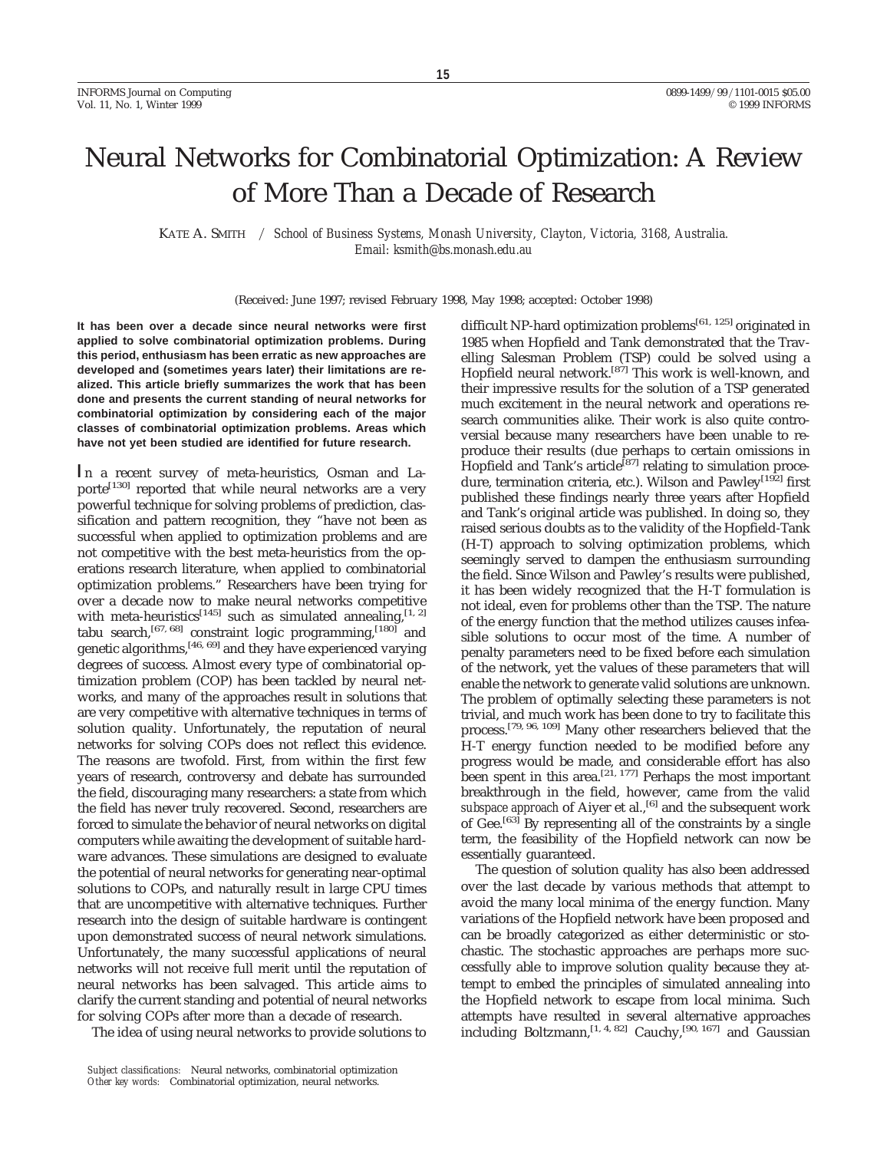# Neural Networks for Combinatorial Optimization: A Review of More Than a Decade of Research

KATE A. SMITH / *School of Business Systems, Monash University, Clayton, Victoria, 3168, Australia. Email: ksmith@bs.monash.edu.au*

(Received: June 1997; revised February 1998, May 1998; accepted: October 1998)

**It has been over a decade since neural networks were first applied to solve combinatorial optimization problems. During this period, enthusiasm has been erratic as new approaches are developed and (sometimes years later) their limitations are realized. This article briefly summarizes the work that has been done and presents the current standing of neural networks for combinatorial optimization by considering each of the major classes of combinatorial optimization problems. Areas which have not yet been studied are identified for future research.**

**I** n a recent survey of meta-heuristics, Osman and Laporte<sup>[130]</sup> reported that while neural networks are a very powerful technique for solving problems of prediction, classification and pattern recognition, they "have not been as successful when applied to optimization problems and are not competitive with the best meta-heuristics from the operations research literature, when applied to combinatorial optimization problems." Researchers have been trying for over a decade now to make neural networks competitive with meta-heuristics<sup>[145]</sup> such as simulated annealing,<sup>[1, 2]</sup> tabu search,<sup>[67, 68]</sup> constraint logic programming, <sup>[180]</sup> and genetic algorithms, <a>[46, 69]</a> and they have experienced varying degrees of success. Almost every type of combinatorial optimization problem (COP) has been tackled by neural networks, and many of the approaches result in solutions that are very competitive with alternative techniques in terms of solution quality. Unfortunately, the reputation of neural networks for solving COPs does not reflect this evidence. The reasons are twofold. First, from within the first few years of research, controversy and debate has surrounded the field, discouraging many researchers: a state from which the field has never truly recovered. Second, researchers are forced to simulate the behavior of neural networks on digital computers while awaiting the development of suitable hardware advances. These simulations are designed to evaluate the potential of neural networks for generating near-optimal solutions to COPs, and naturally result in large CPU times that are uncompetitive with alternative techniques. Further research into the design of suitable hardware is contingent upon demonstrated success of neural network simulations. Unfortunately, the many successful applications of neural networks will not receive full merit until the reputation of neural networks has been salvaged. This article aims to clarify the current standing and potential of neural networks for solving COPs after more than a decade of research.

The idea of using neural networks to provide solutions to

difficult NP-hard optimization problems<sup>[61, 125]</sup> originated in 1985 when Hopfield and Tank demonstrated that the Travelling Salesman Problem (TSP) could be solved using a Hopfield neural network.[87] This work is well-known, and their impressive results for the solution of a TSP generated much excitement in the neural network and operations research communities alike. Their work is also quite controversial because many researchers have been unable to reproduce their results (due perhaps to certain omissions in Hopfield and Tank's article<sup>[87]</sup> relating to simulation procedure, termination criteria, etc.). Wilson and Pawley<sup>[192]</sup> first published these findings nearly three years after Hopfield and Tank's original article was published. In doing so, they raised serious doubts as to the validity of the Hopfield-Tank (H-T) approach to solving optimization problems, which seemingly served to dampen the enthusiasm surrounding the field. Since Wilson and Pawley's results were published, it has been widely recognized that the H-T formulation is not ideal, even for problems other than the TSP. The nature of the energy function that the method utilizes causes infeasible solutions to occur most of the time. A number of penalty parameters need to be fixed before each simulation of the network, yet the values of these parameters that will enable the network to generate valid solutions are unknown. The problem of optimally selecting these parameters is not trivial, and much work has been done to try to facilitate this process.[79, 96, 109] Many other researchers believed that the H-T energy function needed to be modified before any progress would be made, and considerable effort has also been spent in this area.<sup>[21, 177]</sup> Perhaps the most important breakthrough in the field, however, came from the *valid* subspace approach of Aiyer et al.,<sup>[6]</sup> and the subsequent work of Gee.<sup>[63]</sup> By representing all of the constraints by a single term, the feasibility of the Hopfield network can now be essentially guaranteed.

The question of solution quality has also been addressed over the last decade by various methods that attempt to avoid the many local minima of the energy function. Many variations of the Hopfield network have been proposed and can be broadly categorized as either deterministic or stochastic. The stochastic approaches are perhaps more successfully able to improve solution quality because they attempt to embed the principles of simulated annealing into the Hopfield network to escape from local minima. Such attempts have resulted in several alternative approaches including Boltzmann,  $[1, 4, 82]$  Cauchy,  $[90, 167]$  and Gaussian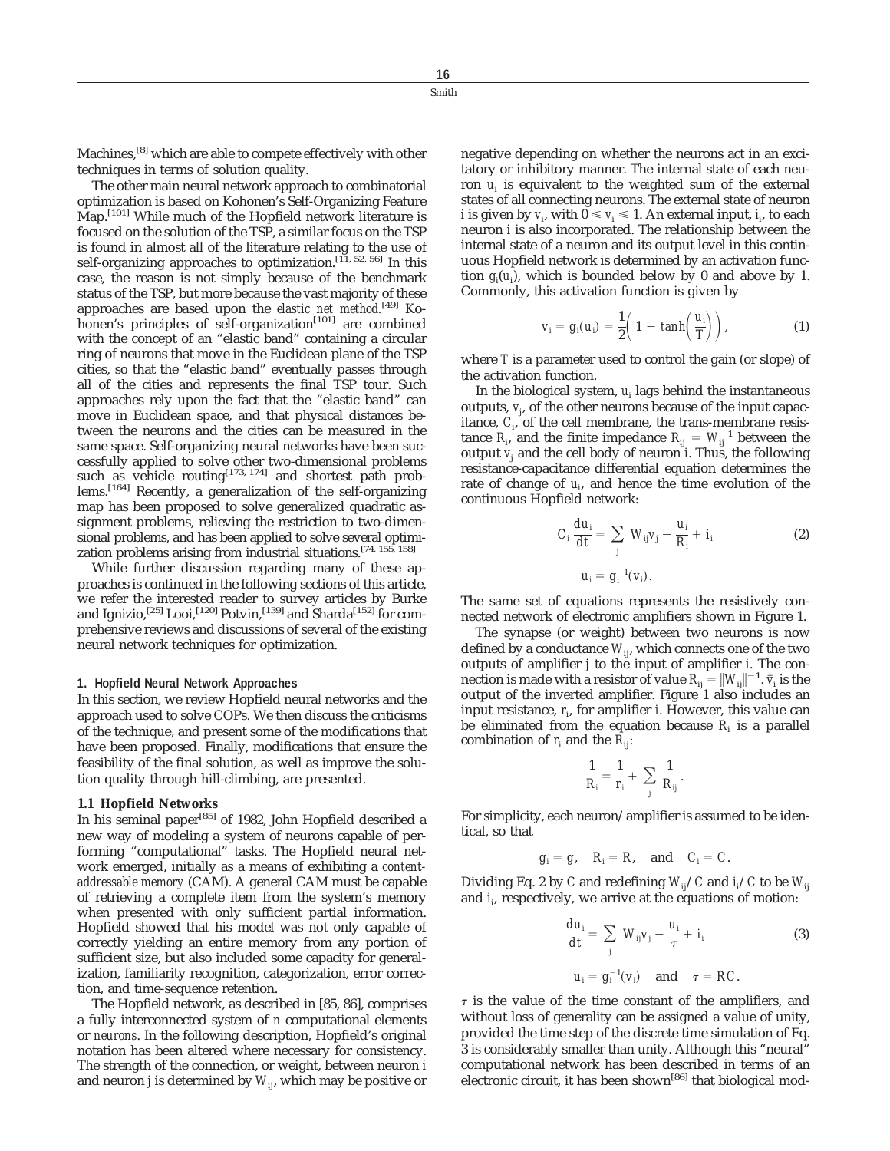Machines,<sup>[8]</sup> which are able to compete effectively with other techniques in terms of solution quality.

The other main neural network approach to combinatorial optimization is based on Kohonen's Self-Organizing Feature Map.<sup>[101]</sup> While much of the Hopfield network literature is focused on the solution of the TSP, a similar focus on the TSP is found in almost all of the literature relating to the use of self-organizing approaches to optimization.<sup>[11, 52, 56]</sup> In this case, the reason is not simply because of the benchmark status of the TSP, but more because the vast majority of these approaches are based upon the *elastic net method.*<sup>[49]</sup> Kohonen's principles of self-organization<sup>[101]</sup> are combined with the concept of an "elastic band" containing a circular ring of neurons that move in the Euclidean plane of the TSP cities, so that the "elastic band" eventually passes through all of the cities and represents the final TSP tour. Such approaches rely upon the fact that the "elastic band" can move in Euclidean space, and that physical distances between the neurons and the cities can be measured in the same space. Self-organizing neural networks have been successfully applied to solve other two-dimensional problems such as vehicle routing $[173, 174]$  and shortest path prob $lems.$ <sup>[164]</sup> Recently, a generalization of the self-organizing map has been proposed to solve generalized quadratic assignment problems, relieving the restriction to two-dimensional problems, and has been applied to solve several optimization problems arising from industrial situations.<sup>[74, 155, 158]</sup>

While further discussion regarding many of these approaches is continued in the following sections of this article, we refer the interested reader to survey articles by Burke and Ignizio,<sup>[25]</sup> Looi,<sup>[120]</sup> Potvin,<sup>[139]</sup> and Sharda<sup>[152]</sup> for comprehensive reviews and discussions of several of the existing neural network techniques for optimization.

#### **1. Hopfield Neural Network Approaches**

In this section, we review Hopfield neural networks and the approach used to solve COPs. We then discuss the criticisms of the technique, and present some of the modifications that have been proposed. Finally, modifications that ensure the feasibility of the final solution, as well as improve the solution quality through hill-climbing, are presented.

#### **1.1 Hopfield Networks**

In his seminal paper<sup>[85]</sup> of 1982, John Hopfield described a new way of modeling a system of neurons capable of performing "computational" tasks. The Hopfield neural network emerged, initially as a means of exhibiting a *contentaddressable memory* (CAM). A general CAM must be capable of retrieving a complete item from the system's memory when presented with only sufficient partial information. Hopfield showed that his model was not only capable of correctly yielding an entire memory from any portion of sufficient size, but also included some capacity for generalization, familiarity recognition, categorization, error correction, and time-sequence retention.

The Hopfield network, as described in [85, 86], comprises a fully interconnected system of *n* computational elements or *neurons*. In the following description, Hopfield's original notation has been altered where necessary for consistency. The strength of the connection, or weight, between neuron *i* and neuron *j* is determined by  $W_{ij}$ , which may be positive or

negative depending on whether the neurons act in an excitatory or inhibitory manner. The internal state of each neuron *ui* is equivalent to the weighted sum of the external states of all connecting neurons. The external state of neuron *i* is given by  $v_i$ , with  $0 \le v_i \le 1$ . An external input,  $i_i$ , to each neuron *i* is also incorporated. The relationship between the internal state of a neuron and its output level in this continuous Hopfield network is determined by an activation function  $g_i(u_i)$ , which is bounded below by 0 and above by 1. Commonly, this activation function is given by

$$
v_i = g_i(u_i) = \frac{1}{2}\left(1 + \tanh\left(\frac{u_i}{T}\right)\right),\tag{1}
$$

where *T* is a parameter used to control the gain (or slope) of the activation function.

In the biological system, *ui* lags behind the instantaneous outputs,  $v_j$ , of the other neurons because of the input capacitance,  $C_i$ , of the cell membrane, the trans-membrane resistance  $R_i$  and the finite impedance  $R_{ij} = W_{ij}^{-1}$  between the output  $v_i$  and the cell body of neuron  $\tilde{i}$ . Thus, the following resistance-capacitance differential equation determines the rate of change of  $u<sub>i</sub>$ , and hence the time evolution of the continuous Hopfield network:

$$
C_i \frac{du_i}{dt} = \sum_j W_{ij} v_j - \frac{u_i}{R_i} + i_i
$$
 (2)  

$$
u_i = g_i^{-1}(v_i).
$$

The same set of equations represents the resistively connected network of electronic amplifiers shown in Figure 1.

The synapse (or weight) between two neurons is now defined by a conductance *Wij*, which connects one of the two outputs of amplifier *j* to the input of amplifier *i*. The connection is made with a resistor of value  $R_{ij} = \|W_{ij}\|^{-1}$ .  $\bar{\text{v}}_i$  is the output of the inverted amplifier. Figure 1 also includes an input resistance, *ri* , for amplifier *i*. However, this value can be eliminated from the equation because  $R_i$  is a parallel combination of  $r_i$  and the  $R_{ij}$ :

$$
\frac{1}{R_i} = \frac{1}{r_i} + \sum_j \frac{1}{R_{ij}}.
$$

For simplicity, each neuron/amplifier is assumed to be identical, so that

$$
g_i = g, \quad R_i = R, \quad \text{and} \quad C_i = C.
$$

Dividing Eq. 2 by  $C$  and redefining  $W_{ij}/C$  and  $i_{i}/C$  to be  $W_{ij}$ and  $i<sub>r</sub>$  respectively, we arrive at the equations of motion:

$$
\frac{du_i}{dt} = \sum_j W_{ij} v_j - \frac{u_i}{\tau} + i_i
$$
 (3)

$$
u_i = g_i^{-1}(v_i) \quad \text{and} \quad \tau = RC.
$$

 $\tau$  is the value of the time constant of the amplifiers, and without loss of generality can be assigned a value of unity, provided the time step of the discrete time simulation of Eq. 3 is considerably smaller than unity. Although this "neural" computational network has been described in terms of an electronic circuit, it has been shown[86] that biological mod-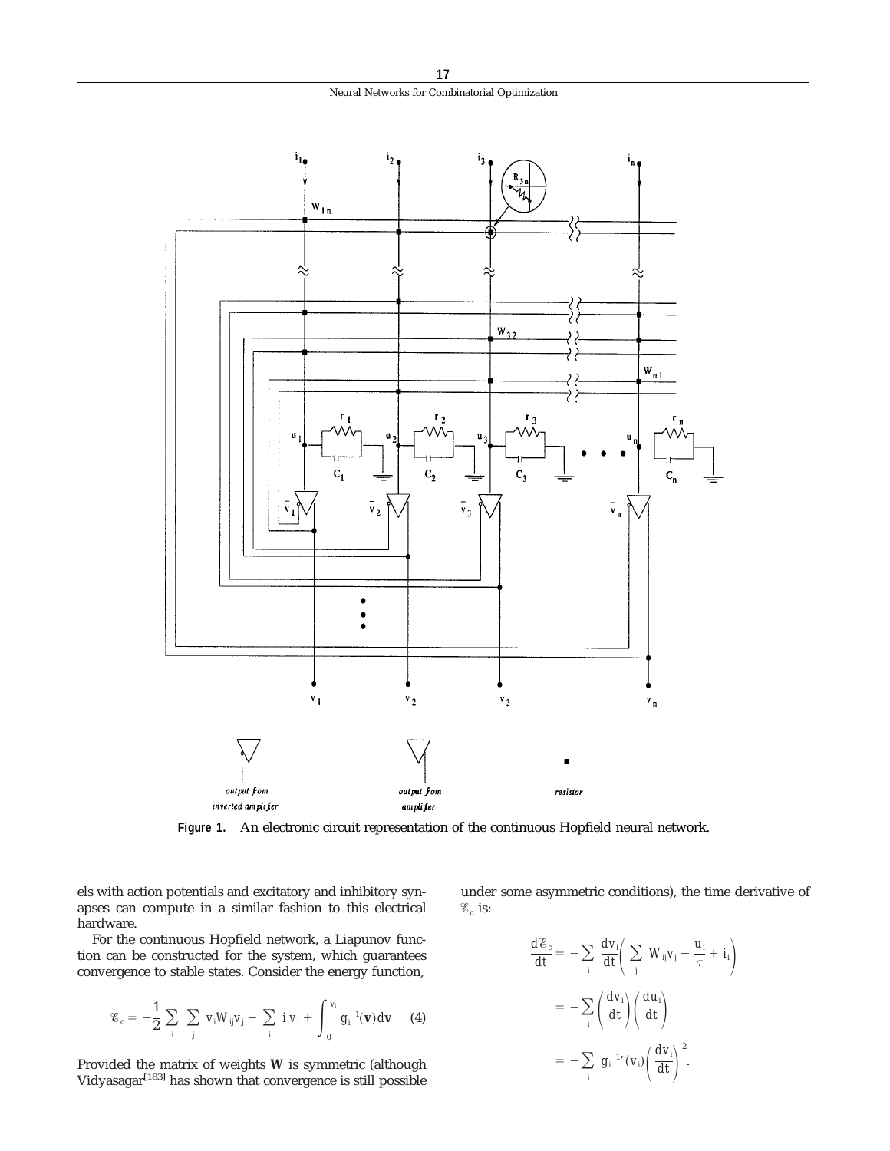Neural Networks for Combinatorial Optimization



**Figure 1.** An electronic circuit representation of the continuous Hopfield neural network.

els with action potentials and excitatory and inhibitory synapses can compute in a similar fashion to this electrical hardware.

For the continuous Hopfield network, a Liapunov function can be constructed for the system, which guarantees convergence to stable states. Consider the energy function,

$$
\mathscr{E}_c = -\frac{1}{2} \sum_i \sum_j v_i W_{ij} v_j - \sum_i i_i v_i + \int_0^{v_i} g_i^{-1}(\mathbf{v}) d\mathbf{v} \qquad (4)
$$

Provided the matrix of weights **W** is symmetric (although Vidyasagar<sup>[183]</sup> has shown that convergence is still possible under some asymmetric conditions), the time derivative of %*<sup>c</sup>* is:

$$
\frac{d\mathcal{E}_c}{dt} = -\sum_i \frac{dv_i}{dt} \left( \sum_j W_{ij} v_j - \frac{u_i}{\tau} + i_i \right)
$$

$$
= -\sum_i \left( \frac{dv_i}{dt} \right) \left( \frac{du_i}{dt} \right)
$$

$$
= -\sum_i g_i^{-1} (v_i) \left( \frac{dv_i}{dt} \right)^2.
$$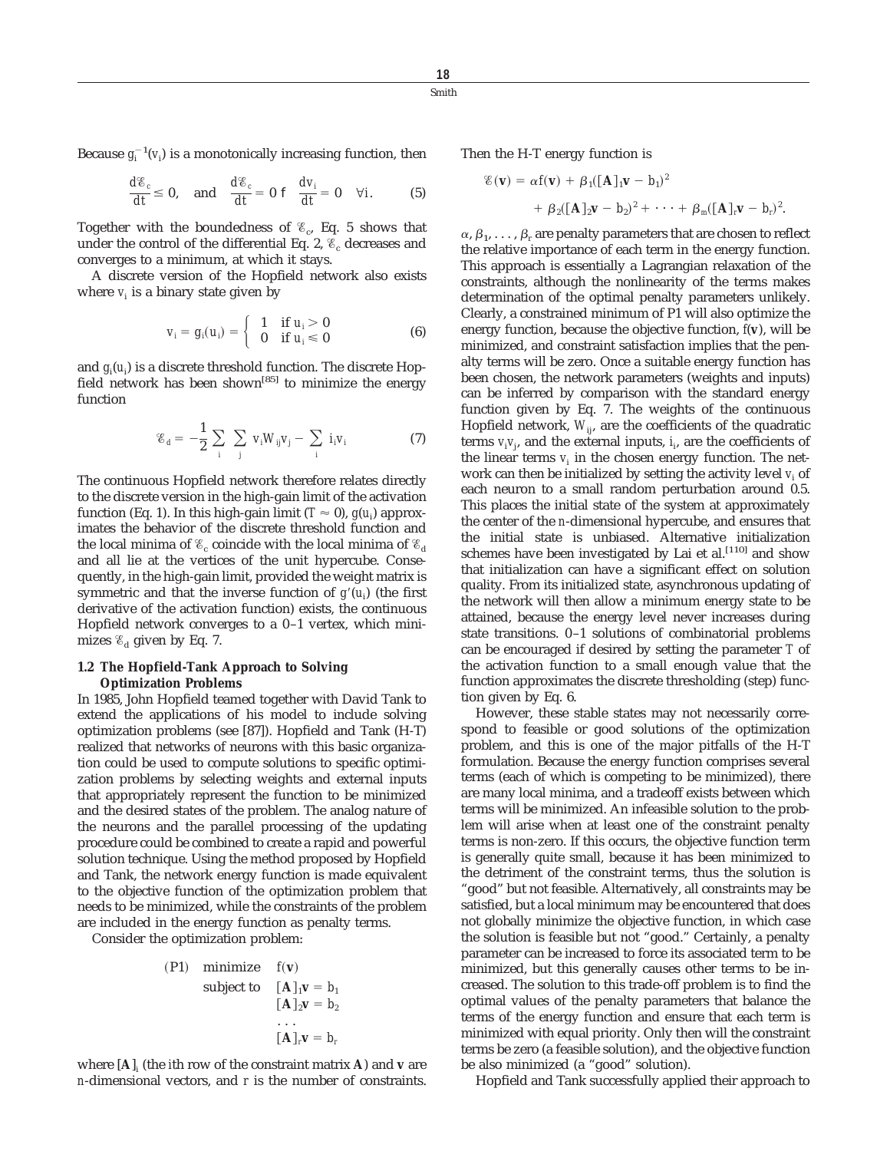| I |  |
|---|--|

Because  $g_i^{-1}(v_i)$  is a monotonically increasing function, then

$$
\frac{d\mathcal{E}_c}{dt} \le 0, \quad \text{and} \quad \frac{d\mathcal{E}_c}{dt} = 0 \text{ f } \frac{d\mathbf{v}_i}{dt} = 0 \quad \forall i. \tag{5}
$$

Together with the boundedness of %*c*, Eq. 5 shows that under the control of the differential Eq. 2, %*<sup>c</sup>* decreases and converges to a minimum, at which it stays.

A discrete version of the Hopfield network also exists where  $v_i$  is a binary state given by

$$
v_i = g_i(u_i) = \begin{cases} 1 & \text{if } u_i > 0 \\ 0 & \text{if } u_i \le 0 \end{cases}
$$
 (6)

and *gi* (*ui* ) is a discrete threshold function. The discrete Hopfield network has been shown<sup>[85]</sup> to minimize the energy function

$$
\mathscr{E}_d = -\frac{1}{2} \sum_i \sum_j v_i W_{ij} v_j - \sum_i i_i v_i \tag{7}
$$

The continuous Hopfield network therefore relates directly to the discrete version in the high-gain limit of the activation function (Eq. 1). In this high-gain limit ( $T \approx 0$ ),  $g(u_i)$  approximates the behavior of the discrete threshold function and the local minima of  $\mathscr{E}_c$  coincide with the local minima of  $\mathscr{E}_d$ and all lie at the vertices of the unit hypercube. Consequently, in the high-gain limit, provided the weight matrix is symmetric and that the inverse function of  $g'(u_i)$  (the first derivative of the activation function) exists, the continuous Hopfield network converges to a 0–1 vertex, which minimizes  $\mathscr{E}_d$  given by Eq. 7.

# **1.2 The Hopfield-Tank Approach to Solving Optimization Problems**

In 1985, John Hopfield teamed together with David Tank to extend the applications of his model to include solving optimization problems (see [87]). Hopfield and Tank (H-T) realized that networks of neurons with this basic organization could be used to compute solutions to specific optimization problems by selecting weights and external inputs that appropriately represent the function to be minimized and the desired states of the problem. The analog nature of the neurons and the parallel processing of the updating procedure could be combined to create a rapid and powerful solution technique. Using the method proposed by Hopfield and Tank, the network energy function is made equivalent to the objective function of the optimization problem that needs to be minimized, while the constraints of the problem are included in the energy function as penalty terms.

Consider the optimization problem:

(P1) minimize 
$$
f(\mathbf{v})
$$
  
subject to  $[\mathbf{A}]_1 \mathbf{v} = b_1$   
 $[\mathbf{A}]_2 \mathbf{v} = b_2$   
...  
 $[\mathbf{A}]_r \mathbf{v} = b_r$ 

where [**A**]*<sup>i</sup>* (the *i*th row of the constraint matrix **A**) and **v** are *n*-dimensional vectors, and *r* is the number of constraints. Then the H-T energy function is

$$
\mathscr{E}(\mathbf{v}) = \alpha f(\mathbf{v}) + \beta_1 ([\mathbf{A}]_1 \mathbf{v} - b_1)^2
$$
  
+  $\beta_2 ([\mathbf{A}]_2 \mathbf{v} - b_2)^2 + \cdots + \beta_m ([\mathbf{A}]_r \mathbf{v} - b_r)^2$ .

 $\alpha, \beta_1, \ldots, \beta_r$  are penalty parameters that are chosen to reflect the relative importance of each term in the energy function. This approach is essentially a Lagrangian relaxation of the constraints, although the nonlinearity of the terms makes determination of the optimal penalty parameters unlikely. Clearly, a constrained minimum of P1 will also optimize the energy function, because the objective function, *f*(**v**), will be minimized, and constraint satisfaction implies that the penalty terms will be zero. Once a suitable energy function has been chosen, the network parameters (weights and inputs) can be inferred by comparison with the standard energy function given by Eq. 7. The weights of the continuous Hopfield network,  $W_{ij}$ , are the coefficients of the quadratic terms  $v_i v_j$ , and the external inputs,  $i_j$  are the coefficients of the linear terms  $v_i$  in the chosen energy function. The network can then be initialized by setting the activity level *v*<sub>i</sub> of each neuron to a small random perturbation around 0.5. This places the initial state of the system at approximately the center of the *n*-dimensional hypercube, and ensures that the initial state is unbiased. Alternative initialization schemes have been investigated by Lai et al.<sup>[110]</sup> and show that initialization can have a significant effect on solution quality. From its initialized state, asynchronous updating of the network will then allow a minimum energy state to be attained, because the energy level never increases during state transitions. 0–1 solutions of combinatorial problems can be encouraged if desired by setting the parameter *T* of the activation function to a small enough value that the function approximates the discrete thresholding (step) function given by Eq. 6.

However, these stable states may not necessarily correspond to feasible or good solutions of the optimization problem, and this is one of the major pitfalls of the H-T formulation. Because the energy function comprises several terms (each of which is competing to be minimized), there are many local minima, and a tradeoff exists between which terms will be minimized. An infeasible solution to the problem will arise when at least one of the constraint penalty terms is non-zero. If this occurs, the objective function term is generally quite small, because it has been minimized to the detriment of the constraint terms, thus the solution is "good" but not feasible. Alternatively, all constraints may be satisfied, but a local minimum may be encountered that does not globally minimize the objective function, in which case the solution is feasible but not "good." Certainly, a penalty parameter can be increased to force its associated term to be minimized, but this generally causes other terms to be increased. The solution to this trade-off problem is to find the optimal values of the penalty parameters that balance the terms of the energy function and ensure that each term is minimized with equal priority. Only then will the constraint terms be zero (a feasible solution), and the objective function be also minimized (a "good" solution).

Hopfield and Tank successfully applied their approach to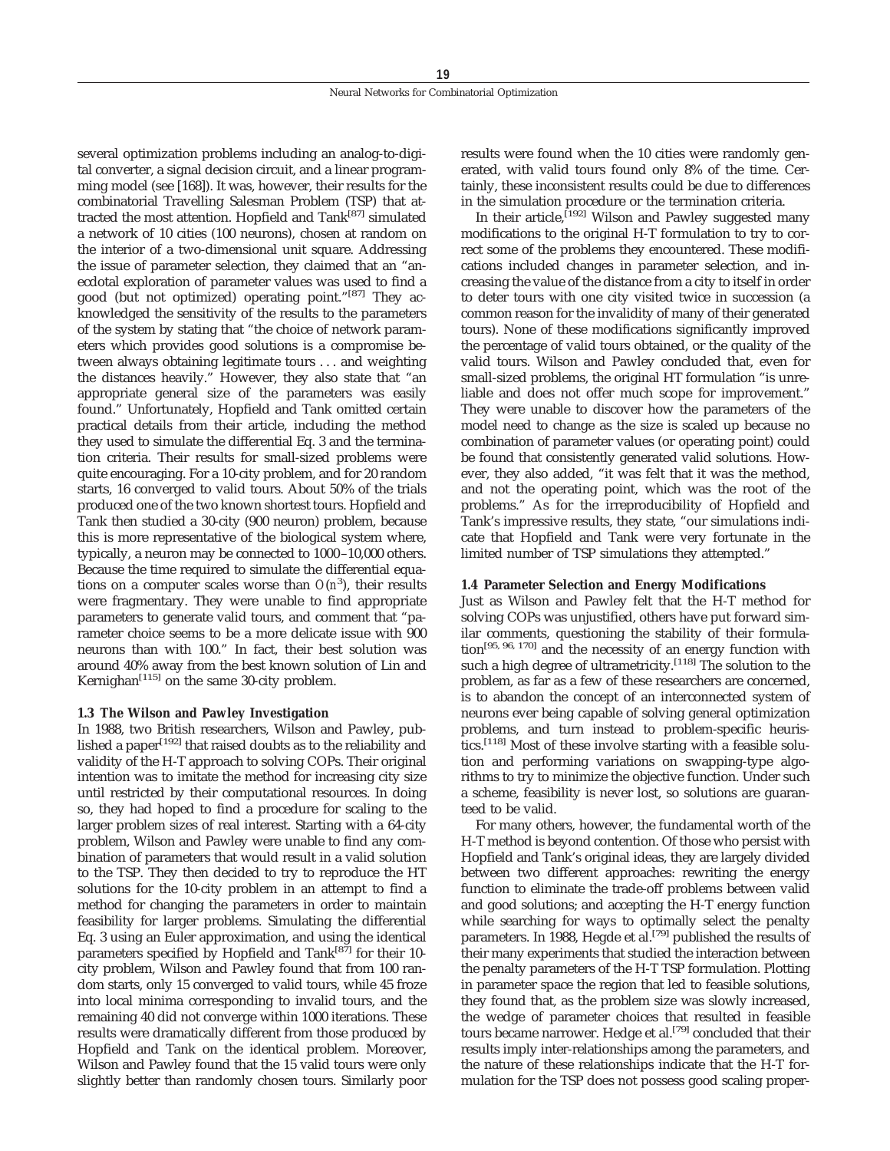several optimization problems including an analog-to-digital converter, a signal decision circuit, and a linear programming model (see [168]). It was, however, their results for the combinatorial Travelling Salesman Problem (TSP) that attracted the most attention. Hopfield and  $\mathsf{Tank}^{[87]}$  simulated a network of 10 cities (100 neurons), chosen at random on the interior of a two-dimensional unit square. Addressing the issue of parameter selection, they claimed that an "anecdotal exploration of parameter values was used to find a good (but not optimized) operating point."[87] They acknowledged the sensitivity of the results to the parameters of the system by stating that "the choice of network parameters which provides good solutions is a compromise between always obtaining legitimate tours . . . and weighting the distances heavily." However, they also state that "an appropriate general size of the parameters was easily found." Unfortunately, Hopfield and Tank omitted certain practical details from their article, including the method they used to simulate the differential Eq. 3 and the termination criteria. Their results for small-sized problems were quite encouraging. For a 10-city problem, and for 20 random starts, 16 converged to valid tours. About 50% of the trials produced one of the two known shortest tours. Hopfield and Tank then studied a 30-city (900 neuron) problem, because this is more representative of the biological system where, typically, a neuron may be connected to 1000–10,000 others. Because the time required to simulate the differential equations on a computer scales worse than  $O(n^3)$ , their results were fragmentary. They were unable to find appropriate parameters to generate valid tours, and comment that "parameter choice seems to be a more delicate issue with 900 neurons than with 100." In fact, their best solution was around 40% away from the best known solution of Lin and Kernighan<sup>[115]</sup> on the same 30-city problem.

#### **1.3 The Wilson and Pawley Investigation**

In 1988, two British researchers, Wilson and Pawley, published a paper<sup>[192]</sup> that raised doubts as to the reliability and validity of the H-T approach to solving COPs. Their original intention was to imitate the method for increasing city size until restricted by their computational resources. In doing so, they had hoped to find a procedure for scaling to the larger problem sizes of real interest. Starting with a 64-city problem, Wilson and Pawley were unable to find any combination of parameters that would result in a valid solution to the TSP. They then decided to try to reproduce the HT solutions for the 10-city problem in an attempt to find a method for changing the parameters in order to maintain feasibility for larger problems. Simulating the differential Eq. 3 using an Euler approximation, and using the identical parameters specified by Hopfield and Tank<sup>[87]</sup> for their 10city problem, Wilson and Pawley found that from 100 random starts, only 15 converged to valid tours, while 45 froze into local minima corresponding to invalid tours, and the remaining 40 did not converge within 1000 iterations. These results were dramatically different from those produced by Hopfield and Tank on the identical problem. Moreover, Wilson and Pawley found that the 15 valid tours were only slightly better than randomly chosen tours. Similarly poor

results were found when the 10 cities were randomly generated, with valid tours found only 8% of the time. Certainly, these inconsistent results could be due to differences in the simulation procedure or the termination criteria.

In their article,  $[192]$  Wilson and Pawley suggested many modifications to the original H-T formulation to try to correct some of the problems they encountered. These modifications included changes in parameter selection, and increasing the value of the distance from a city to itself in order to deter tours with one city visited twice in succession (a common reason for the invalidity of many of their generated tours). None of these modifications significantly improved the percentage of valid tours obtained, or the quality of the valid tours. Wilson and Pawley concluded that, even for small-sized problems, the original HT formulation "is unreliable and does not offer much scope for improvement." They were unable to discover how the parameters of the model need to change as the size is scaled up because no combination of parameter values (or operating point) could be found that consistently generated valid solutions. However, they also added, "it was felt that it was the method, and not the operating point, which was the root of the problems." As for the irreproducibility of Hopfield and Tank's impressive results, they state, "our simulations indicate that Hopfield and Tank were very fortunate in the limited number of TSP simulations they attempted."

#### **1.4 Parameter Selection and Energy Modifications**

Just as Wilson and Pawley felt that the H-T method for solving COPs was unjustified, others have put forward similar comments, questioning the stability of their formulation[95, 96, 170] and the necessity of an energy function with such a high degree of ultrametricity.<sup>[118]</sup> The solution to the problem, as far as a few of these researchers are concerned, is to abandon the concept of an interconnected system of neurons ever being capable of solving general optimization problems, and turn instead to problem-specific heuristics.<sup>[118]</sup> Most of these involve starting with a feasible solution and performing variations on swapping-type algorithms to try to minimize the objective function. Under such a scheme, feasibility is never lost, so solutions are guaranteed to be valid.

For many others, however, the fundamental worth of the H-T method is beyond contention. Of those who persist with Hopfield and Tank's original ideas, they are largely divided between two different approaches: rewriting the energy function to eliminate the trade-off problems between valid and good solutions; and accepting the H-T energy function while searching for ways to optimally select the penalty parameters. In 1988, Hegde et al.<sup>[79]</sup> published the results of their many experiments that studied the interaction between the penalty parameters of the H-T TSP formulation. Plotting in parameter space the region that led to feasible solutions, they found that, as the problem size was slowly increased, the wedge of parameter choices that resulted in feasible tours became narrower. Hedge et al.<sup>[79]</sup> concluded that their results imply inter-relationships among the parameters, and the nature of these relationships indicate that the H-T formulation for the TSP does not possess good scaling proper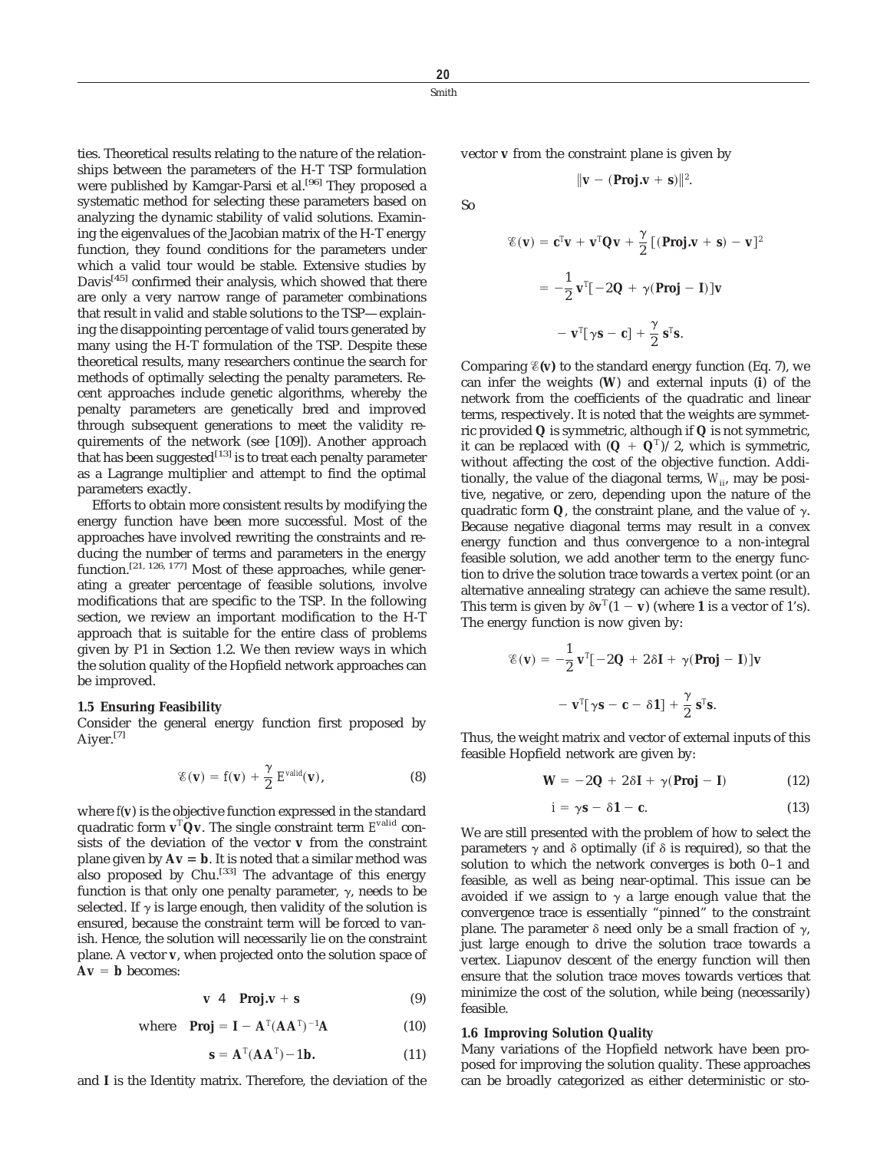Smith

ties. Theoretical results relating to the nature of the relationships between the parameters of the H-T TSP formulation were published by Kamgar-Parsi et al.<sup>[96]</sup> They proposed a systematic method for selecting these parameters based on analyzing the dynamic stability of valid solutions. Examining the eigenvalues of the Jacobian matrix of the H-T energy function, they found conditions for the parameters under which a valid tour would be stable. Extensive studies by Davis<sup>[45]</sup> confirmed their analysis, which showed that there are only a very narrow range of parameter combinations that result in valid and stable solutions to the TSP—explaining the disappointing percentage of valid tours generated by many using the H-T formulation of the TSP. Despite these theoretical results, many researchers continue the search for methods of optimally selecting the penalty parameters. Recent approaches include genetic algorithms, whereby the penalty parameters are genetically bred and improved through subsequent generations to meet the validity requirements of the network (see [109]). Another approach that has been suggested $[13]$  is to treat each penalty parameter as a Lagrange multiplier and attempt to find the optimal parameters exactly.

Efforts to obtain more consistent results by modifying the energy function have been more successful. Most of the approaches have involved rewriting the constraints and reducing the number of terms and parameters in the energy function.<sup>[21, 126, 177]</sup> Most of these approaches, while generating a greater percentage of feasible solutions, involve modifications that are specific to the TSP. In the following section, we review an important modification to the H-T approach that is suitable for the entire class of problems given by P1 in Section 1.2. We then review ways in which the solution quality of the Hopfield network approaches can be improved.

#### **1.5 Ensuring Feasibility**

Consider the general energy function first proposed by Aiyer.<sup>[7]</sup>

$$
\mathscr{E}(\mathbf{v}) = f(\mathbf{v}) + \frac{\gamma}{2} E^{\text{valid}}(\mathbf{v}), \qquad (8)
$$

where *f*(**v**) is the objective function expressed in the standard quadratic form **v***<sup>T</sup>* **Qv**. The single constraint term *Evalid* consists of the deviation of the vector **v** from the constraint plane given by  $Av = b$ . It is noted that a similar method was also proposed by Chu.<sup>[33]</sup> The advantage of this energy function is that only one penalty parameter,  $\gamma$ , needs to be selected. If  $\gamma$  is large enough, then validity of the solution is ensured, because the constraint term will be forced to vanish. Hence, the solution will necessarily lie on the constraint plane. A vector **v**, when projected onto the solution space of  $Av = b$  becomes:

$$
\mathbf{v} \quad 4 \quad \mathbf{Proj}.\mathbf{v} + \mathbf{s} \tag{9}
$$

where 
$$
\text{Proj} = \mathbf{I} - \mathbf{A}^T (\mathbf{A} \mathbf{A}^T)^{-1} \mathbf{A}
$$
 (10)

$$
\mathbf{s} = \mathbf{A}^T (\mathbf{A} \mathbf{A}^T) - 1 \mathbf{b}.
$$
 (11)

and **I** is the Identity matrix. Therefore, the deviation of the

vector **v** from the constraint plane is given by

$$
\|\mathbf{v}-(\mathbf{Proj}.\mathbf{v}+\mathbf{s})\|^2.
$$

So

$$
\mathscr{E}(\mathbf{v}) = \mathbf{c}^T \mathbf{v} + \mathbf{v}^T \mathbf{Q} \mathbf{v} + \frac{\gamma}{2} [(\mathbf{Proj}.\mathbf{v} + \mathbf{s}) - \mathbf{v}]^2
$$

$$
= -\frac{1}{2} \mathbf{v}^T [-2\mathbf{Q} + \gamma (\mathbf{Proj} - \mathbf{I})] \mathbf{v}
$$

$$
- \mathbf{v}^T [\gamma \mathbf{s} - \mathbf{c}] + \frac{\gamma}{2} \mathbf{s}^T \mathbf{s}.
$$

Comparing %**(v)** to the standard energy function (Eq. 7), we can infer the weights (**W**) and external inputs (**i**) of the network from the coefficients of the quadratic and linear terms, respectively. It is noted that the weights are symmetric provided **Q** is symmetric, although if **Q** is not symmetric, it can be replaced with  $(Q + Q^T)/2$ , which is symmetric, without affecting the cost of the objective function. Additionally, the value of the diagonal terms,  $W_{ij}$  may be positive, negative, or zero, depending upon the nature of the quadratic form  $Q$ , the constraint plane, and the value of  $\gamma$ . Because negative diagonal terms may result in a convex energy function and thus convergence to a non-integral feasible solution, we add another term to the energy function to drive the solution trace towards a vertex point (or an alternative annealing strategy can achieve the same result). This term is given by  $\delta \mathbf{v}^T (1 - \mathbf{v})$  (where 1 is a vector of 1's). The energy function is now given by:

$$
\mathscr{E}(\mathbf{v}) = -\frac{1}{2} \mathbf{v}^T [-2\mathbf{Q} + 2\delta \mathbf{I} + \gamma (\mathbf{Proj} - \mathbf{I})] \mathbf{v}
$$

$$
- \mathbf{v}^T [\gamma \mathbf{s} - \mathbf{c} - \delta \mathbf{1}] + \frac{\gamma}{2} \mathbf{s}^T \mathbf{s}.
$$

Thus, the weight matrix and vector of external inputs of this feasible Hopfield network are given by:

$$
\mathbf{W} = -2\mathbf{Q} + 2\delta \mathbf{I} + \gamma (\mathbf{Proj} - \mathbf{I}) \tag{12}
$$

$$
i = \gamma s - \delta 1 - c. \tag{13}
$$

We are still presented with the problem of how to select the parameters  $\gamma$  and  $\delta$  optimally (if  $\delta$  is required), so that the solution to which the network converges is both 0–1 and feasible, as well as being near-optimal. This issue can be avoided if we assign to  $\gamma$  a large enough value that the convergence trace is essentially "pinned" to the constraint plane. The parameter  $\delta$  need only be a small fraction of  $\gamma$ , just large enough to drive the solution trace towards a vertex. Liapunov descent of the energy function will then ensure that the solution trace moves towards vertices that minimize the cost of the solution, while being (necessarily) feasible.

# **1.6 Improving Solution Quality**

Many variations of the Hopfield network have been proposed for improving the solution quality. These approaches can be broadly categorized as either deterministic or sto-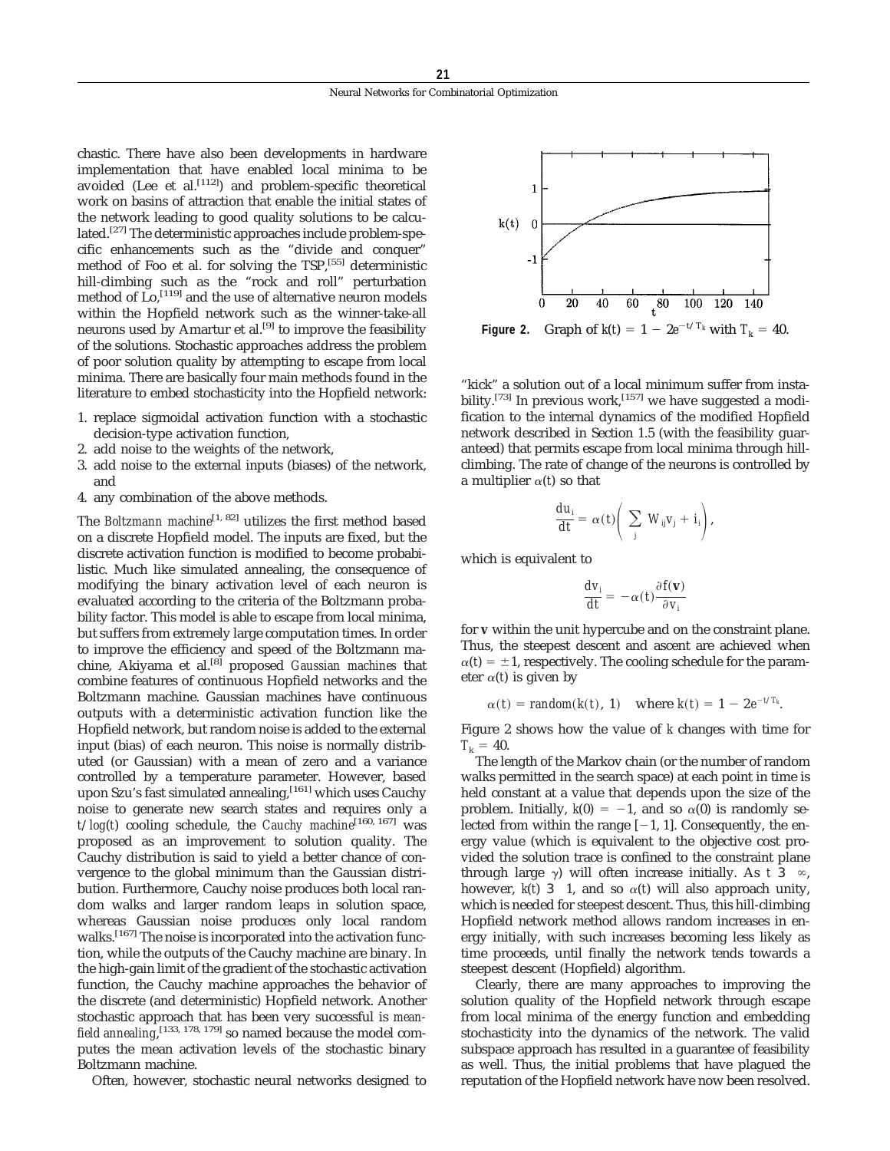chastic. There have also been developments in hardware implementation that have enabled local minima to be avoided (Lee et al.<sup>[112]</sup>) and problem-specific theoretical work on basins of attraction that enable the initial states of the network leading to good quality solutions to be calculated.<sup>[27]</sup> The deterministic approaches include problem-specific enhancements such as the "divide and conquer" method of Foo et al. for solving the TSP,<sup>[55]</sup> deterministic hill-climbing such as the "rock and roll" perturbation method of  $Lo<sub>1</sub><sup>[119]</sup>$  and the use of alternative neuron models within the Hopfield network such as the winner-take-all neurons used by Amartur et al.<sup>[9]</sup> to improve the feasibility of the solutions. Stochastic approaches address the problem of poor solution quality by attempting to escape from local minima. There are basically four main methods found in the literature to embed stochasticity into the Hopfield network:

- 1. replace sigmoidal activation function with a stochastic decision-type activation function,
- 2. add noise to the weights of the network,
- 3. add noise to the external inputs (biases) of the network, and
- 4. any combination of the above methods.

The *Boltzmann machine*<sup>[1, 82]</sup> utilizes the first method based on a discrete Hopfield model. The inputs are fixed, but the discrete activation function is modified to become probabilistic. Much like simulated annealing, the consequence of modifying the binary activation level of each neuron is evaluated according to the criteria of the Boltzmann probability factor. This model is able to escape from local minima, but suffers from extremely large computation times. In order to improve the efficiency and speed of the Boltzmann machine, Akiyama et al.[8] proposed *Gaussian machines* that combine features of continuous Hopfield networks and the Boltzmann machine. Gaussian machines have continuous outputs with a deterministic activation function like the Hopfield network, but random noise is added to the external input (bias) of each neuron. This noise is normally distributed (or Gaussian) with a mean of zero and a variance controlled by a temperature parameter. However, based upon Szu's fast simulated annealing, [161] which uses Cauchy noise to generate new search states and requires only a  $t/log(t)$  cooling schedule, the *Cauchy machine*<sup>[160, 167]</sup> was proposed as an improvement to solution quality. The Cauchy distribution is said to yield a better chance of convergence to the global minimum than the Gaussian distribution. Furthermore, Cauchy noise produces both local random walks and larger random leaps in solution space, whereas Gaussian noise produces only local random walks.<sup>[167]</sup> The noise is incorporated into the activation function, while the outputs of the Cauchy machine are binary. In the high-gain limit of the gradient of the stochastic activation function, the Cauchy machine approaches the behavior of the discrete (and deterministic) Hopfield network. Another stochastic approach that has been very successful is *mean*field annealing, <a>[133, 178, 179]</a> so named because the model computes the mean activation levels of the stochastic binary Boltzmann machine.

Often, however, stochastic neural networks designed to



"kick" a solution out of a local minimum suffer from instability.<sup>[73]</sup> In previous work,<sup>[157]</sup> we have suggested a modification to the internal dynamics of the modified Hopfield network described in Section 1.5 (with the feasibility guaranteed) that permits escape from local minima through hillclimbing. The rate of change of the neurons is controlled by a multiplier  $\alpha(t)$  so that

$$
\frac{du_i}{dt} = \alpha(t) \left( \sum_j W_{ij} v_j + i_i \right),
$$

which is equivalent to

$$
\frac{d\mathbf{v}_i}{dt} = -\alpha(t)\frac{\partial f(\mathbf{v})}{\partial \mathbf{v}_i}
$$

for **v** within the unit hypercube and on the constraint plane. Thus, the steepest descent and ascent are achieved when  $\alpha(t) = \pm 1$ , respectively. The cooling schedule for the parameter  $\alpha(t)$  is given by

$$
\alpha(t) = \text{random}(k(t), 1) \quad \text{where } k(t) = 1 - 2e^{-t/T_k}.
$$

Figure 2 shows how the value of *k* changes with time for  $T_k = 40$ .

The length of the Markov chain (or the number of random walks permitted in the search space) at each point in time is held constant at a value that depends upon the size of the problem. Initially,  $k(0) = -1$ , and so  $\alpha(0)$  is randomly selected from within the range  $[-1, 1]$ . Consequently, the energy value (which is equivalent to the objective cost provided the solution trace is confined to the constraint plane through large  $\gamma$ ) will often increase initially. As *t* 3  $\infty$ , however,  $k(t)$  3 1, and so  $\alpha(t)$  will also approach unity, which is needed for steepest descent. Thus, this hill-climbing Hopfield network method allows random increases in energy initially, with such increases becoming less likely as time proceeds, until finally the network tends towards a steepest descent (Hopfield) algorithm.

Clearly, there are many approaches to improving the solution quality of the Hopfield network through escape from local minima of the energy function and embedding stochasticity into the dynamics of the network. The valid subspace approach has resulted in a guarantee of feasibility as well. Thus, the initial problems that have plagued the reputation of the Hopfield network have now been resolved.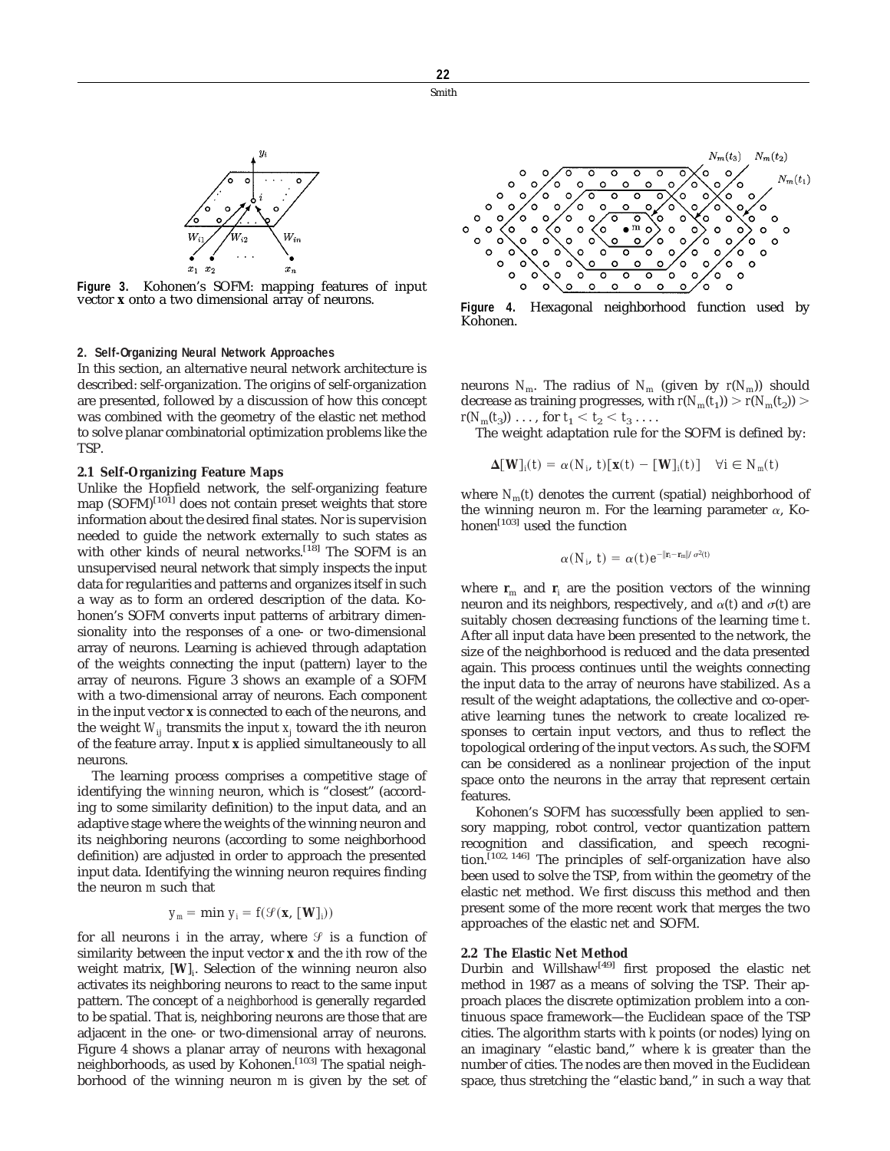

Figure 3. Kohonen's SOFM: mapping features of input vector **x** onto a two dimensional array of neurons.

#### **2. Self-Organizing Neural Network Approaches**

In this section, an alternative neural network architecture is described: self-organization. The origins of self-organization are presented, followed by a discussion of how this concept was combined with the geometry of the elastic net method to solve planar combinatorial optimization problems like the TSP.

#### **2.1 Self-Organizing Feature Maps**

Unlike the Hopfield network, the self-organizing feature map (SOFM)<sup>[101]</sup> does not contain preset weights that store information about the desired final states. Nor is supervision needed to guide the network externally to such states as with other kinds of neural networks.<sup>[18]</sup> The SOFM is an unsupervised neural network that simply inspects the input data for regularities and patterns and organizes itself in such a way as to form an ordered description of the data. Kohonen's SOFM converts input patterns of arbitrary dimensionality into the responses of a one- or two-dimensional array of neurons. Learning is achieved through adaptation of the weights connecting the input (pattern) layer to the array of neurons. Figure 3 shows an example of a SOFM with a two-dimensional array of neurons. Each component in the input vector **x** is connected to each of the neurons, and the weight  $W_{ij}$  transmits the input  $x_j$  toward the *i*th neuron of the feature array. Input **x** is applied simultaneously to all neurons.

The learning process comprises a competitive stage of identifying the *winning* neuron, which is "closest" (according to some similarity definition) to the input data, and an adaptive stage where the weights of the winning neuron and its neighboring neurons (according to some neighborhood definition) are adjusted in order to approach the presented input data. Identifying the winning neuron requires finding the neuron *m* such that

# $y_m = \min y_i = f(\mathcal{G}(\mathbf{x}, [\mathbf{W}]_i))$

for all neurons  $i$  in the array, where  $\mathcal G$  is a function of similarity between the input vector **x** and the *i*th row of the weight matrix, [**W**]*<sup>i</sup>* . Selection of the winning neuron also activates its neighboring neurons to react to the same input pattern. The concept of a *neighborhood* is generally regarded to be spatial. That is, neighboring neurons are those that are adjacent in the one- or two-dimensional array of neurons. Figure 4 shows a planar array of neurons with hexagonal neighborhoods, as used by Kohonen.<sup>[103]</sup> The spatial neighborhood of the winning neuron *m* is given by the set of



Figure 4. Hexagonal neighborhood function used by Kohonen.

neurons  $N_m$ . The radius of  $N_m$  (given by  $r(N_m)$ ) should decrease as training progresses, with  $r(N_m(t_1)) > r(N_m(t_2))$ .  $r(N_m(t_3)) \ldots$ , for  $t_1 < t_2 < t_3 \ldots$ .

The weight adaptation rule for the SOFM is defined by:

$$
\Delta[\mathbf{W}]_i(t) = \alpha(N_i, t)[\mathbf{x}(t) - [\mathbf{W}]_i(t)] \quad \forall i \in N_m(t)
$$

where  $N_m(t)$  denotes the current (spatial) neighborhood of the winning neuron  $m$ . For the learning parameter  $\alpha$ , Kohonen<sup>[103]</sup> used the function

$$
\alpha(N_i, t) = \alpha(t) e^{-\|\mathbf{r}_i - \mathbf{r}_m\|/\sigma^2(t)}
$$

where  $\mathbf{r}_m$  and  $\mathbf{r}_i$  are the position vectors of the winning neuron and its neighbors, respectively, and  $\alpha(t)$  and  $\sigma(t)$  are suitably chosen decreasing functions of the learning time *t*. After all input data have been presented to the network, the size of the neighborhood is reduced and the data presented again. This process continues until the weights connecting the input data to the array of neurons have stabilized. As a result of the weight adaptations, the collective and co-operative learning tunes the network to create localized responses to certain input vectors, and thus to reflect the topological ordering of the input vectors. As such, the SOFM can be considered as a nonlinear projection of the input space onto the neurons in the array that represent certain features.

Kohonen's SOFM has successfully been applied to sensory mapping, robot control, vector quantization pattern recognition and classification, and speech recognition.<sup>[102, 146]</sup> The principles of self-organization have also been used to solve the TSP, from within the geometry of the elastic net method. We first discuss this method and then present some of the more recent work that merges the two approaches of the elastic net and SOFM.

#### **2.2 The Elastic Net Method**

Durbin and Willshaw<sup>[49]</sup> first proposed the elastic net method in 1987 as a means of solving the TSP. Their approach places the discrete optimization problem into a continuous space framework—the Euclidean space of the TSP cities. The algorithm starts with *k* points (or nodes) lying on an imaginary "elastic band," where *k* is greater than the number of cities. The nodes are then moved in the Euclidean space, thus stretching the "elastic band," in such a way that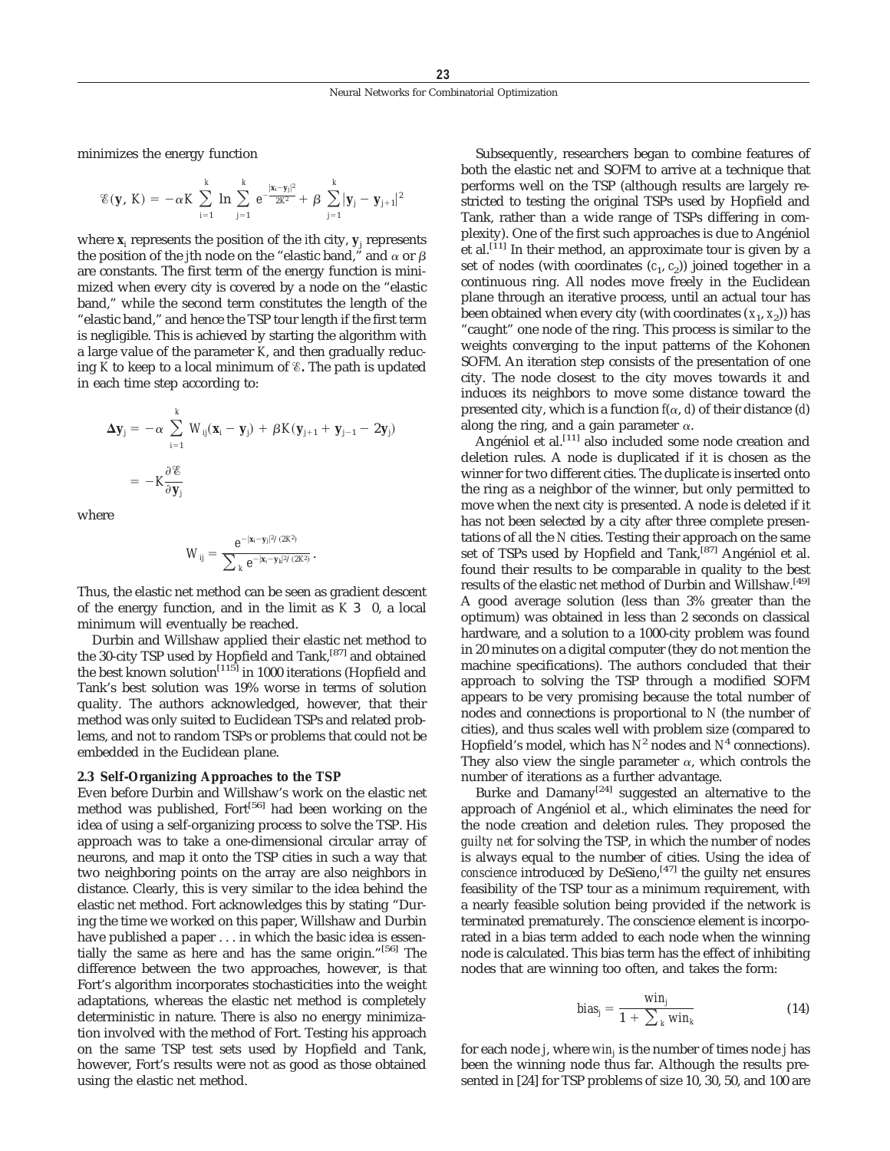minimizes the energy function

$$
\mathscr{E}(\mathbf{y},\ K) = -\alpha K \sum_{i=1}^k \ \ln \ \sum_{j=1}^k \ e^{-\frac{|\mathbf{x}_i - \mathbf{y}_j|^2}{2K^2}} + \ \beta \ \sum_{j=1}^k |\mathbf{y}_j - \mathbf{y}_{j+1}|^2
$$

where **x***<sup>i</sup>* represents the position of the *i*th city, **y***<sup>j</sup>* represents the position of the *j*th node on the "elastic band," and  $\alpha$  or  $\beta$ are constants. The first term of the energy function is minimized when every city is covered by a node on the "elastic band," while the second term constitutes the length of the "elastic band," and hence the TSP tour length if the first term is negligible. This is achieved by starting the algorithm with a large value of the parameter *K*, and then gradually reducing *K* to keep to a local minimum of %**.** The path is updated in each time step according to:

$$
\Delta \mathbf{y}_j = -\alpha \sum_{i=1}^k W_{ij} (\mathbf{x}_i - \mathbf{y}_j) + \beta K (\mathbf{y}_{j+1} + \mathbf{y}_{j-1} - 2\mathbf{y}_j)
$$
  
= 
$$
-K \frac{\partial \mathscr{E}}{\partial \mathbf{y}_j}
$$

where

$$
W_{ij} = \frac{e^{-|\mathbf{x}_i - \mathbf{y}_j|^2/(2K^2)}}{\sum_k e^{-|\mathbf{x}_i - \mathbf{y}_k|^2/(2K^2)}}.
$$

Thus, the elastic net method can be seen as gradient descent of the energy function, and in the limit as  $K \simeq 0$ , a local minimum will eventually be reached.

Durbin and Willshaw applied their elastic net method to the 30-city TSP used by Hopfield and Tank,<sup>[87]</sup> and obtained the best known solution<sup>[115]</sup> in 1000 iterations (Hopfield and Tank's best solution was 19% worse in terms of solution quality. The authors acknowledged, however, that their method was only suited to Euclidean TSPs and related problems, and not to random TSPs or problems that could not be embedded in the Euclidean plane.

#### **2.3 Self-Organizing Approaches to the TSP**

Even before Durbin and Willshaw's work on the elastic net method was published,  $Fort<sup>[56]</sup>$  had been working on the idea of using a self-organizing process to solve the TSP. His approach was to take a one-dimensional circular array of neurons, and map it onto the TSP cities in such a way that two neighboring points on the array are also neighbors in distance. Clearly, this is very similar to the idea behind the elastic net method. Fort acknowledges this by stating "During the time we worked on this paper, Willshaw and Durbin have published a paper . . . in which the basic idea is essentially the same as here and has the same origin."<sup>[56]</sup> The difference between the two approaches, however, is that Fort's algorithm incorporates stochasticities into the weight adaptations, whereas the elastic net method is completely deterministic in nature. There is also no energy minimization involved with the method of Fort. Testing his approach on the same TSP test sets used by Hopfield and Tank, however, Fort's results were not as good as those obtained using the elastic net method.

Subsequently, researchers began to combine features of both the elastic net and SOFM to arrive at a technique that performs well on the TSP (although results are largely restricted to testing the original TSPs used by Hopfield and Tank, rather than a wide range of TSPs differing in complexity). One of the first such approaches is due to Angéniol et al.<sup>[11]</sup> In their method, an approximate tour is given by a set of nodes (with coordinates  $(c_1, c_2)$ ) joined together in a continuous ring. All nodes move freely in the Euclidean plane through an iterative process, until an actual tour has been obtained when every city (with coordinates  $(x_1, x_2)$ ) has "caught" one node of the ring. This process is similar to the weights converging to the input patterns of the Kohonen SOFM. An iteration step consists of the presentation of one city. The node closest to the city moves towards it and induces its neighbors to move some distance toward the presented city, which is a function  $f(\alpha, d)$  of their distance  $(d)$ along the ring, and a gain parameter  $\alpha$ .

Angéniol et al.<sup>[11]</sup> also included some node creation and deletion rules. A node is duplicated if it is chosen as the winner for two different cities. The duplicate is inserted onto the ring as a neighbor of the winner, but only permitted to move when the next city is presented. A node is deleted if it has not been selected by a city after three complete presentations of all the *N* cities. Testing their approach on the same set of TSPs used by Hopfield and Tank,<sup>[87]</sup> Angeniol et al. found their results to be comparable in quality to the best results of the elastic net method of Durbin and Willshaw.[49] A good average solution (less than 3% greater than the optimum) was obtained in less than 2 seconds on classical hardware, and a solution to a 1000-city problem was found in 20 minutes on a digital computer (they do not mention the machine specifications). The authors concluded that their approach to solving the TSP through a modified SOFM appears to be very promising because the total number of nodes and connections is proportional to *N* (the number of cities), and thus scales well with problem size (compared to Hopfield's model, which has  $N^2$  nodes and  $N^4$  connections). They also view the single parameter  $\alpha$ , which controls the number of iterations as a further advantage.

Burke and Damany<sup>[24]</sup> suggested an alternative to the approach of Angéniol et al., which eliminates the need for the node creation and deletion rules. They proposed the *guilty net* for solving the TSP, in which the number of nodes is always equal to the number of cities. Using the idea of *conscience* introduced by DeSieno,<sup>[47]</sup> the guilty net ensures feasibility of the TSP tour as a minimum requirement, with a nearly feasible solution being provided if the network is terminated prematurely. The conscience element is incorporated in a bias term added to each node when the winning node is calculated. This bias term has the effect of inhibiting nodes that are winning too often, and takes the form:

$$
bias_j = \frac{win_j}{1 + \sum_k win_k}
$$
 (14)

for each node *j*, where *winj* is the number of times node *j* has been the winning node thus far. Although the results presented in [24] for TSP problems of size 10, 30, 50, and 100 are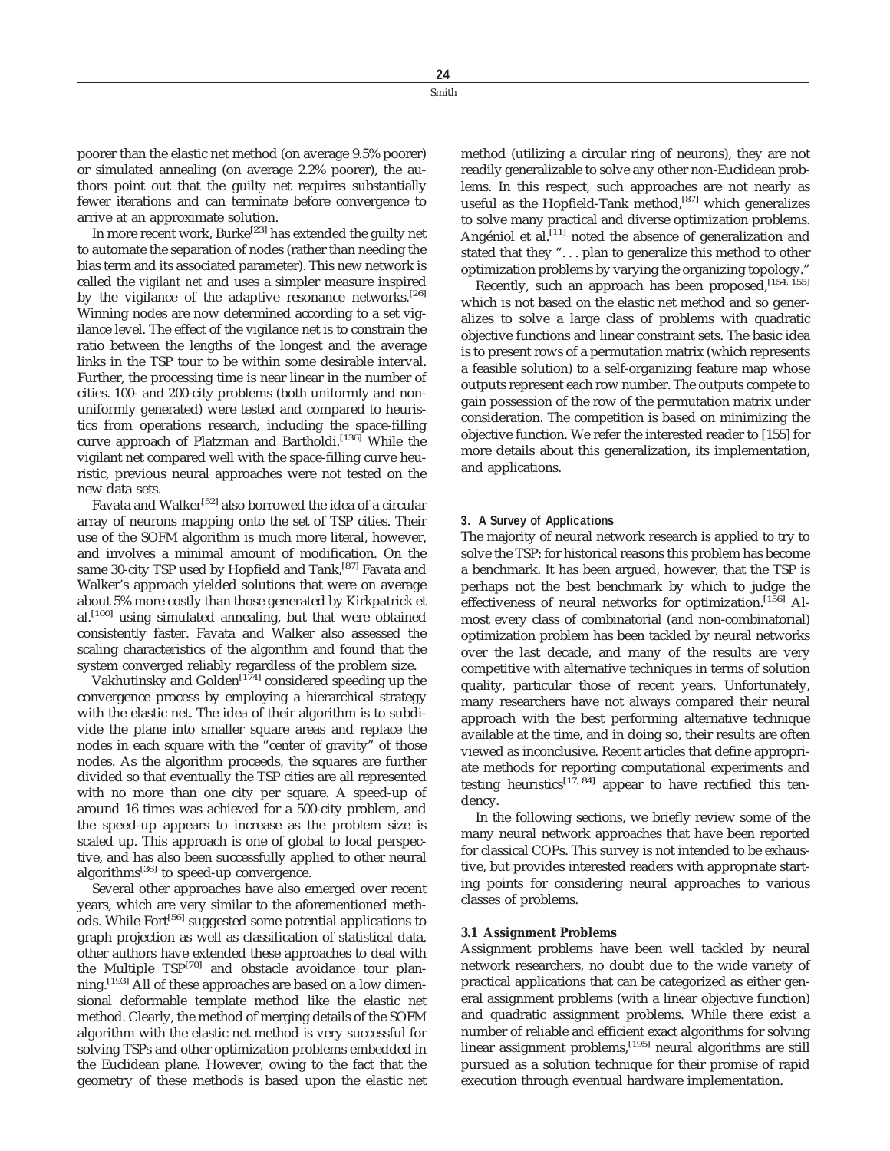poorer than the elastic net method (on average 9.5% poorer) or simulated annealing (on average 2.2% poorer), the authors point out that the guilty net requires substantially fewer iterations and can terminate before convergence to arrive at an approximate solution.

In more recent work, Burke<sup>[23]</sup> has extended the guilty net to automate the separation of nodes (rather than needing the bias term and its associated parameter). This new network is called the *vigilant net* and uses a simpler measure inspired by the vigilance of the adaptive resonance networks.<sup>[26]</sup> Winning nodes are now determined according to a set vigilance level. The effect of the vigilance net is to constrain the ratio between the lengths of the longest and the average links in the TSP tour to be within some desirable interval. Further, the processing time is near linear in the number of cities. 100- and 200-city problems (both uniformly and nonuniformly generated) were tested and compared to heuristics from operations research, including the space-filling curve approach of Platzman and Bartholdi.<sup>[136]</sup> While the vigilant net compared well with the space-filling curve heuristic, previous neural approaches were not tested on the new data sets.

Favata and Walker<sup>[52]</sup> also borrowed the idea of a circular array of neurons mapping onto the set of TSP cities. Their use of the SOFM algorithm is much more literal, however, and involves a minimal amount of modification. On the same 30-city TSP used by Hopfield and Tank,<sup>[87]</sup> Favata and Walker's approach yielded solutions that were on average about 5% more costly than those generated by Kirkpatrick et al.<sup>[100]</sup> using simulated annealing, but that were obtained consistently faster. Favata and Walker also assessed the scaling characteristics of the algorithm and found that the system converged reliably regardless of the problem size.

Vakhutinsky and Golden<sup>[174]</sup> considered speeding up the convergence process by employing a hierarchical strategy with the elastic net. The idea of their algorithm is to subdivide the plane into smaller square areas and replace the nodes in each square with the "center of gravity" of those nodes. As the algorithm proceeds, the squares are further divided so that eventually the TSP cities are all represented with no more than one city per square. A speed-up of around 16 times was achieved for a 500-city problem, and the speed-up appears to increase as the problem size is scaled up. This approach is one of global to local perspective, and has also been successfully applied to other neural algorithms<sup>[36]</sup> to speed-up convergence.

Several other approaches have also emerged over recent years, which are very similar to the aforementioned methods. While Fort<sup>[56]</sup> suggested some potential applications to graph projection as well as classification of statistical data, other authors have extended these approaches to deal with the Multiple TSP<sup>[70]</sup> and obstacle avoidance tour planning.<sup>[193]</sup> All of these approaches are based on a low dimensional deformable template method like the elastic net method. Clearly, the method of merging details of the SOFM algorithm with the elastic net method is very successful for solving TSPs and other optimization problems embedded in the Euclidean plane. However, owing to the fact that the geometry of these methods is based upon the elastic net

method (utilizing a circular ring of neurons), they are not readily generalizable to solve any other non-Euclidean problems. In this respect, such approaches are not nearly as useful as the Hopfield-Tank method, $[87]$  which generalizes to solve many practical and diverse optimization problems. Angéniol et al.<sup>[11]</sup> noted the absence of generalization and stated that they ". . . plan to generalize this method to other optimization problems by varying the organizing topology."

Recently, such an approach has been proposed,  $[154, 155]$ which is not based on the elastic net method and so generalizes to solve a large class of problems with quadratic objective functions and linear constraint sets. The basic idea is to present rows of a permutation matrix (which represents a feasible solution) to a self-organizing feature map whose outputs represent each row number. The outputs compete to gain possession of the row of the permutation matrix under consideration. The competition is based on minimizing the objective function. We refer the interested reader to [155] for more details about this generalization, its implementation, and applications.

#### **3. A Survey of Applications**

The majority of neural network research is applied to try to solve the TSP: for historical reasons this problem has become a benchmark. It has been argued, however, that the TSP is perhaps not the best benchmark by which to judge the effectiveness of neural networks for optimization.<sup>[156]</sup> Almost every class of combinatorial (and non-combinatorial) optimization problem has been tackled by neural networks over the last decade, and many of the results are very competitive with alternative techniques in terms of solution quality, particular those of recent years. Unfortunately, many researchers have not always compared their neural approach with the best performing alternative technique available at the time, and in doing so, their results are often viewed as inconclusive. Recent articles that define appropriate methods for reporting computational experiments and testing heuristics<sup>[17, 84]</sup> appear to have rectified this tendency.

In the following sections, we briefly review some of the many neural network approaches that have been reported for classical COPs. This survey is not intended to be exhaustive, but provides interested readers with appropriate starting points for considering neural approaches to various classes of problems.

### **3.1 Assignment Problems**

Assignment problems have been well tackled by neural network researchers, no doubt due to the wide variety of practical applications that can be categorized as either general assignment problems (with a linear objective function) and quadratic assignment problems. While there exist a number of reliable and efficient exact algorithms for solving linear assignment problems, [195] neural algorithms are still pursued as a solution technique for their promise of rapid execution through eventual hardware implementation.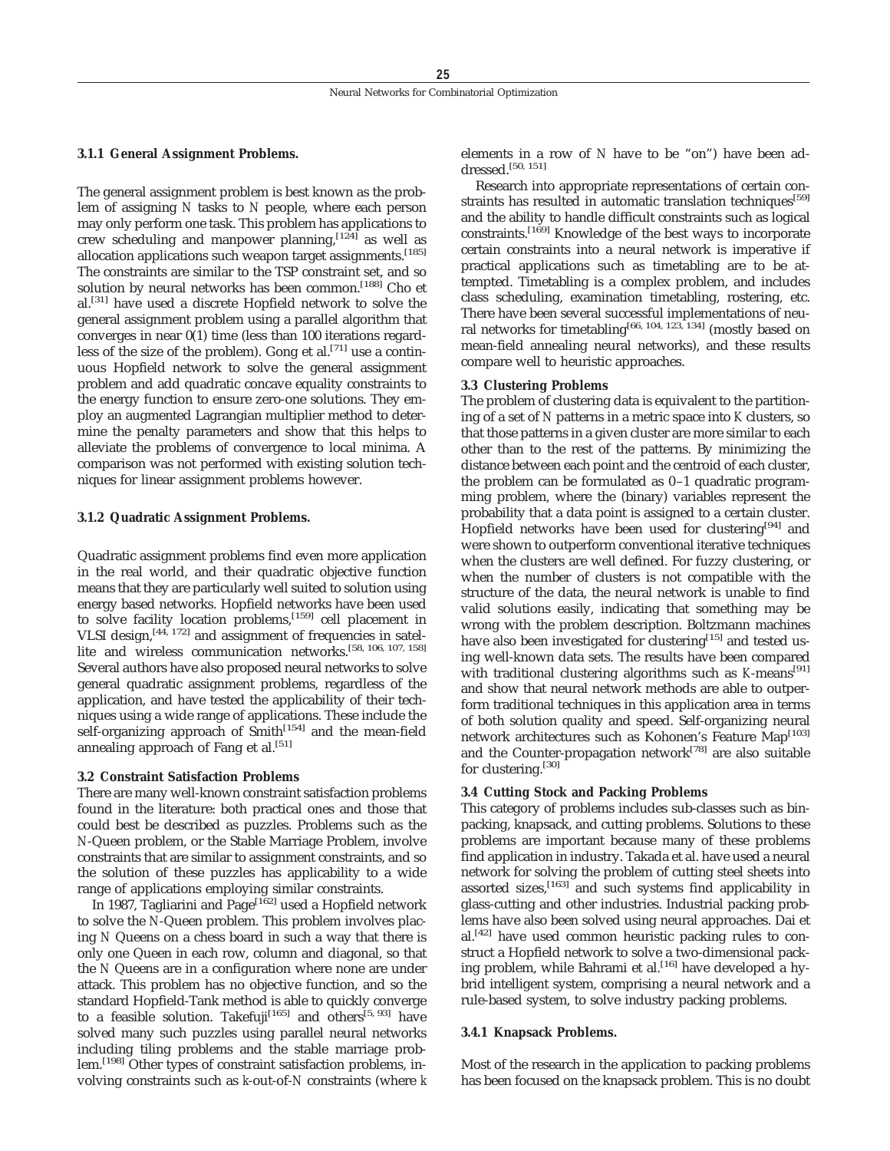#### **3.1.1 General Assignment Problems.**

The general assignment problem is best known as the problem of assigning *N* tasks to *N* people, where each person may only perform one task. This problem has applications to crew scheduling and manpower planning,  $[124]$  as well as allocation applications such weapon target assignments.<sup>[185]</sup> The constraints are similar to the TSP constraint set, and so solution by neural networks has been common.<sup>[188]</sup> Cho et al.[31] have used a discrete Hopfield network to solve the general assignment problem using a parallel algorithm that converges in near 0(1) time (less than 100 iterations regardless of the size of the problem). Gong et al.<sup>[71]</sup> use a continuous Hopfield network to solve the general assignment problem and add quadratic concave equality constraints to the energy function to ensure zero-one solutions. They employ an augmented Lagrangian multiplier method to determine the penalty parameters and show that this helps to alleviate the problems of convergence to local minima. A comparison was not performed with existing solution techniques for linear assignment problems however.

# **3.1.2 Quadratic Assignment Problems.**

Quadratic assignment problems find even more application in the real world, and their quadratic objective function means that they are particularly well suited to solution using energy based networks. Hopfield networks have been used to solve facility location problems, <a>[159]</a> cell placement in VLSI design,  $[44, 172]$  and assignment of frequencies in satellite and wireless communication networks.[58, 106, 107, 158] Several authors have also proposed neural networks to solve general quadratic assignment problems, regardless of the application, and have tested the applicability of their techniques using a wide range of applications. These include the self-organizing approach of Smith<sup>[154]</sup> and the mean-field annealing approach of Fang et al.<sup>[51]</sup>

# **3.2 Constraint Satisfaction Problems**

There are many well-known constraint satisfaction problems found in the literature: both practical ones and those that could best be described as puzzles. Problems such as the *N*-Queen problem, or the Stable Marriage Problem, involve constraints that are similar to assignment constraints, and so the solution of these puzzles has applicability to a wide range of applications employing similar constraints.

In 1987, Tagliarini and Page<sup>[162]</sup> used a Hopfield network to solve the *N*-Queen problem. This problem involves placing *N* Queens on a chess board in such a way that there is only one Queen in each row, column and diagonal, so that the *N* Queens are in a configuration where none are under attack. This problem has no objective function, and so the standard Hopfield-Tank method is able to quickly converge to a feasible solution. Takefuji<sup>[165]</sup> and others<sup>[5, 93]</sup> have solved many such puzzles using parallel neural networks including tiling problems and the stable marriage problem.[198] Other types of constraint satisfaction problems, involving constraints such as *k*-out-of-*N* constraints (where *k* elements in a row of *N* have to be "on") have been addressed.<sup>[50, 151]</sup>

Research into appropriate representations of certain constraints has resulted in automatic translation techniques<sup>[59]</sup> and the ability to handle difficult constraints such as logical constraints.[169] Knowledge of the best ways to incorporate certain constraints into a neural network is imperative if practical applications such as timetabling are to be attempted. Timetabling is a complex problem, and includes class scheduling, examination timetabling, rostering, etc. There have been several successful implementations of neural networks for timetabling<sup>[66, 104, 123, 134]</sup> (mostly based on mean-field annealing neural networks), and these results compare well to heuristic approaches.

# **3.3 Clustering Problems**

The problem of clustering data is equivalent to the partitioning of a set of *N* patterns in a metric space into *K* clusters, so that those patterns in a given cluster are more similar to each other than to the rest of the patterns. By minimizing the distance between each point and the centroid of each cluster, the problem can be formulated as 0–1 quadratic programming problem, where the (binary) variables represent the probability that a data point is assigned to a certain cluster. Hopfield networks have been used for clustering<sup>[94]</sup> and were shown to outperform conventional iterative techniques when the clusters are well defined. For fuzzy clustering, or when the number of clusters is not compatible with the structure of the data, the neural network is unable to find valid solutions easily, indicating that something may be wrong with the problem description. Boltzmann machines have also been investigated for clustering $[15]$  and tested using well-known data sets. The results have been compared with traditional clustering algorithms such as *K*-means<sup>[91]</sup> and show that neural network methods are able to outperform traditional techniques in this application area in terms of both solution quality and speed. Self-organizing neural network architectures such as Kohonen's Feature Map<sup>[103]</sup> and the Counter-propagation network[78] are also suitable for clustering.<sup>[30]</sup>

# **3.4 Cutting Stock and Packing Problems**

This category of problems includes sub-classes such as binpacking, knapsack, and cutting problems. Solutions to these problems are important because many of these problems find application in industry. Takada et al. have used a neural network for solving the problem of cutting steel sheets into assorted sizes, $[163]$  and such systems find applicability in glass-cutting and other industries. Industrial packing problems have also been solved using neural approaches. Dai et al.[42] have used common heuristic packing rules to construct a Hopfield network to solve a two-dimensional packing problem, while Bahrami et al.<sup>[16]</sup> have developed a hybrid intelligent system, comprising a neural network and a rule-based system, to solve industry packing problems.

#### **3.4.1 Knapsack Problems.**

Most of the research in the application to packing problems has been focused on the knapsack problem. This is no doubt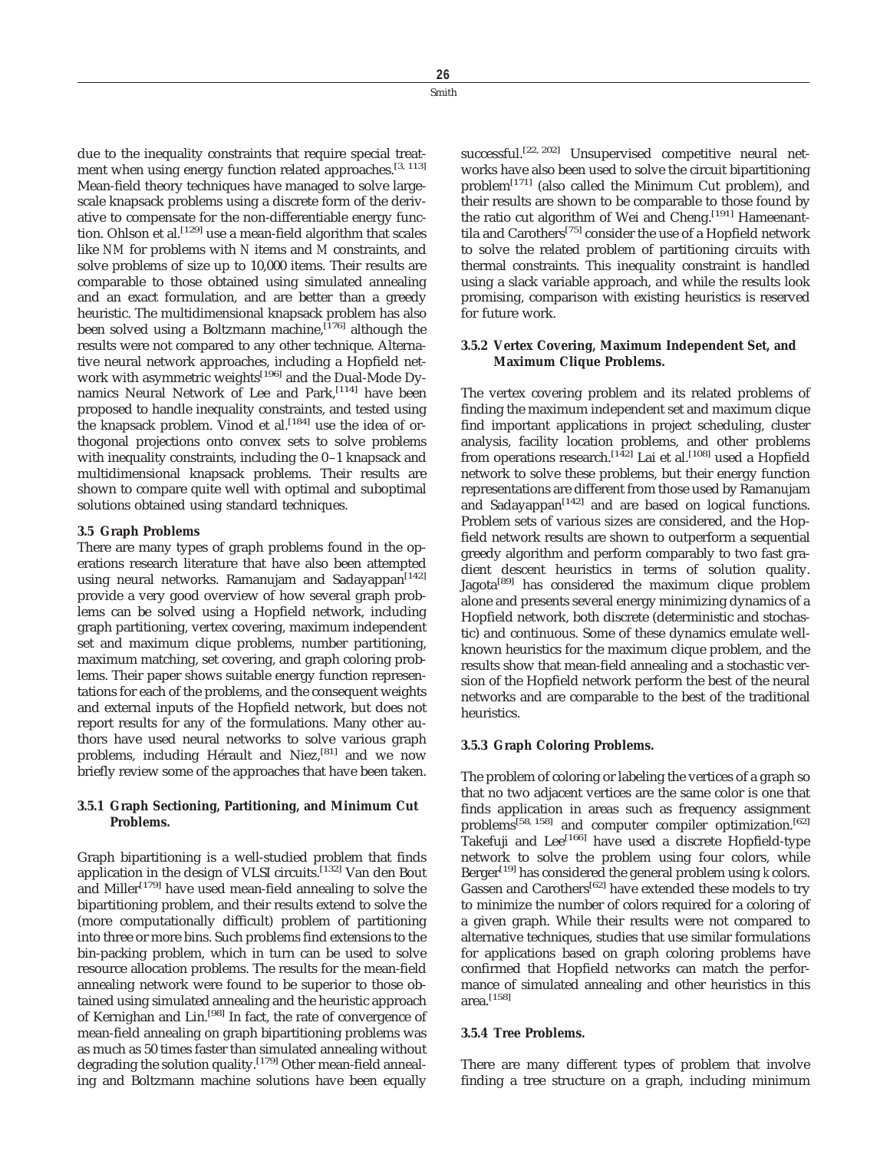due to the inequality constraints that require special treatment when using energy function related approaches.<sup>[3, 113]</sup> Mean-field theory techniques have managed to solve largescale knapsack problems using a discrete form of the derivative to compensate for the non-differentiable energy function. Ohlson et al.<sup>[129]</sup> use a mean-field algorithm that scales like *NM* for problems with *N* items and *M* constraints, and solve problems of size up to 10,000 items. Their results are comparable to those obtained using simulated annealing and an exact formulation, and are better than a greedy heuristic. The multidimensional knapsack problem has also been solved using a Boltzmann machine,<sup>[176]</sup> although the results were not compared to any other technique. Alternative neural network approaches, including a Hopfield network with asymmetric weights<sup>[196]</sup> and the Dual-Mode Dynamics Neural Network of Lee and Park,<sup>[114]</sup> have been proposed to handle inequality constraints, and tested using the knapsack problem. Vinod et al.<sup>[184]</sup> use the idea of orthogonal projections onto convex sets to solve problems with inequality constraints, including the 0–1 knapsack and multidimensional knapsack problems. Their results are shown to compare quite well with optimal and suboptimal solutions obtained using standard techniques.

# **3.5 Graph Problems**

There are many types of graph problems found in the operations research literature that have also been attempted using neural networks. Ramanujam and Sadayappan<sup>[142]</sup> provide a very good overview of how several graph problems can be solved using a Hopfield network, including graph partitioning, vertex covering, maximum independent set and maximum clique problems, number partitioning, maximum matching, set covering, and graph coloring problems. Their paper shows suitable energy function representations for each of the problems, and the consequent weights and external inputs of the Hopfield network, but does not report results for any of the formulations. Many other authors have used neural networks to solve various graph problems, including Hérault and Niez, $[81]$  and we now briefly review some of the approaches that have been taken.

# **3.5.1 Graph Sectioning, Partitioning, and Minimum Cut Problems.**

Graph bipartitioning is a well-studied problem that finds application in the design of VLSI circuits.<sup>[132]</sup> Van den Bout and Miller<sup>[179]</sup> have used mean-field annealing to solve the bipartitioning problem, and their results extend to solve the (more computationally difficult) problem of partitioning into three or more bins. Such problems find extensions to the bin-packing problem, which in turn can be used to solve resource allocation problems. The results for the mean-field annealing network were found to be superior to those obtained using simulated annealing and the heuristic approach of Kernighan and Lin.<sup>[98]</sup> In fact, the rate of convergence of mean-field annealing on graph bipartitioning problems was as much as 50 times faster than simulated annealing without degrading the solution quality.<sup>[179]</sup> Other mean-field annealing and Boltzmann machine solutions have been equally successful.<sup>[22, 202]</sup> Unsupervised competitive neural networks have also been used to solve the circuit bipartitioning problem<sup>[171]</sup> (also called the Minimum Cut problem), and their results are shown to be comparable to those found by the ratio cut algorithm of Wei and Cheng.<sup>[191]</sup> Hameenanttila and Carothers<sup>[75]</sup> consider the use of a Hopfield network to solve the related problem of partitioning circuits with thermal constraints. This inequality constraint is handled using a slack variable approach, and while the results look promising, comparison with existing heuristics is reserved for future work.

# **3.5.2 Vertex Covering, Maximum Independent Set, and Maximum Clique Problems.**

The vertex covering problem and its related problems of finding the maximum independent set and maximum clique find important applications in project scheduling, cluster analysis, facility location problems, and other problems from operations research.<sup>[142]</sup> Lai et al.<sup>[108]</sup> used a Hopfield network to solve these problems, but their energy function representations are different from those used by Ramanujam and Sadayappan<sup>[142]</sup> and are based on logical functions. Problem sets of various sizes are considered, and the Hopfield network results are shown to outperform a sequential greedy algorithm and perform comparably to two fast gradient descent heuristics in terms of solution quality. Jagota[89] has considered the maximum clique problem alone and presents several energy minimizing dynamics of a Hopfield network, both discrete (deterministic and stochastic) and continuous. Some of these dynamics emulate wellknown heuristics for the maximum clique problem, and the results show that mean-field annealing and a stochastic version of the Hopfield network perform the best of the neural networks and are comparable to the best of the traditional heuristics.

# **3.5.3 Graph Coloring Problems.**

The problem of coloring or labeling the vertices of a graph so that no two adjacent vertices are the same color is one that finds application in areas such as frequency assignment problems<sup>[58, 158]</sup> and computer compiler optimization.<sup>[62]</sup>  $T$ akefuji and Lee<sup>[166]</sup> have used a discrete Hopfield-type network to solve the problem using four colors, while Berger<sup>[19]</sup> has considered the general problem using *k* colors. Gassen and Carothers<sup>[62]</sup> have extended these models to try to minimize the number of colors required for a coloring of a given graph. While their results were not compared to alternative techniques, studies that use similar formulations for applications based on graph coloring problems have confirmed that Hopfield networks can match the performance of simulated annealing and other heuristics in this area. $^{[158]}$ 

# **3.5.4 Tree Problems.**

There are many different types of problem that involve finding a tree structure on a graph, including minimum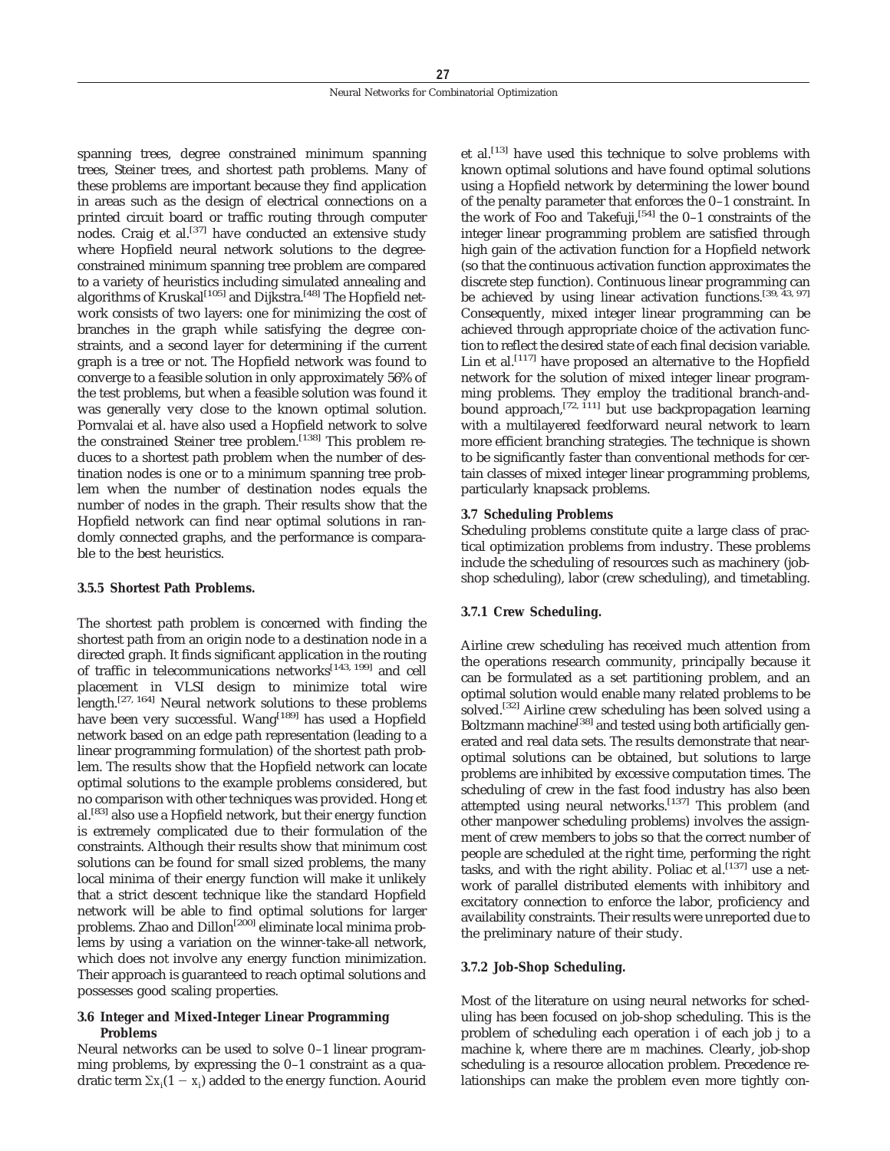spanning trees, degree constrained minimum spanning trees, Steiner trees, and shortest path problems. Many of these problems are important because they find application in areas such as the design of electrical connections on a printed circuit board or traffic routing through computer nodes. Craig et al.<sup>[37]</sup> have conducted an extensive study where Hopfield neural network solutions to the degreeconstrained minimum spanning tree problem are compared to a variety of heuristics including simulated annealing and algorithms of Kruskal<sup>[105]</sup> and Dijkstra.<sup>[48]</sup> The Hopfield network consists of two layers: one for minimizing the cost of branches in the graph while satisfying the degree constraints, and a second layer for determining if the current graph is a tree or not. The Hopfield network was found to converge to a feasible solution in only approximately 56% of the test problems, but when a feasible solution was found it was generally very close to the known optimal solution. Pornvalai et al. have also used a Hopfield network to solve the constrained Steiner tree problem.<sup>[138]</sup> This problem reduces to a shortest path problem when the number of destination nodes is one or to a minimum spanning tree problem when the number of destination nodes equals the number of nodes in the graph. Their results show that the Hopfield network can find near optimal solutions in randomly connected graphs, and the performance is comparable to the best heuristics.

### **3.5.5 Shortest Path Problems.**

The shortest path problem is concerned with finding the shortest path from an origin node to a destination node in a directed graph. It finds significant application in the routing of traffic in telecommunications networks<sup>[143, 199]</sup> and cell placement in VLSI design to minimize total wire length.<sup>[27, 164]</sup> Neural network solutions to these problems have been very successful. Wang<sup>[189]</sup> has used a Hopfield network based on an edge path representation (leading to a linear programming formulation) of the shortest path problem. The results show that the Hopfield network can locate optimal solutions to the example problems considered, but no comparison with other techniques was provided. Hong et al.<sup>[83]</sup> also use a Hopfield network, but their energy function is extremely complicated due to their formulation of the constraints. Although their results show that minimum cost solutions can be found for small sized problems, the many local minima of their energy function will make it unlikely that a strict descent technique like the standard Hopfield network will be able to find optimal solutions for larger problems. Zhao and Dillon<sup>[200]</sup> eliminate local minima problems by using a variation on the winner-take-all network, which does not involve any energy function minimization. Their approach is guaranteed to reach optimal solutions and possesses good scaling properties.

## **3.6 Integer and Mixed-Integer Linear Programming Problems**

Neural networks can be used to solve 0–1 linear programming problems, by expressing the 0–1 constraint as a quadratic term  $\sum x_i(1 - x_i)$  added to the energy function. Aourid

et al.<sup>[13]</sup> have used this technique to solve problems with known optimal solutions and have found optimal solutions using a Hopfield network by determining the lower bound of the penalty parameter that enforces the 0–1 constraint. In the work of Foo and Takefuji,<sup>[54]</sup> the 0-1 constraints of the integer linear programming problem are satisfied through high gain of the activation function for a Hopfield network (so that the continuous activation function approximates the discrete step function). Continuous linear programming can be achieved by using linear activation functions.<sup>[39, 43, 97]</sup> Consequently, mixed integer linear programming can be achieved through appropriate choice of the activation function to reflect the desired state of each final decision variable. Lin et al.<sup>[117]</sup> have proposed an alternative to the Hopfield network for the solution of mixed integer linear programming problems. They employ the traditional branch-andbound approach,<sup>[72, 111]</sup> but use backpropagation learning with a multilayered feedforward neural network to learn more efficient branching strategies. The technique is shown to be significantly faster than conventional methods for certain classes of mixed integer linear programming problems, particularly knapsack problems.

#### **3.7 Scheduling Problems**

Scheduling problems constitute quite a large class of practical optimization problems from industry. These problems include the scheduling of resources such as machinery (jobshop scheduling), labor (crew scheduling), and timetabling.

#### **3.7.1 Crew Scheduling.**

Airline crew scheduling has received much attention from the operations research community, principally because it can be formulated as a set partitioning problem, and an optimal solution would enable many related problems to be solved.[32] Airline crew scheduling has been solved using a Boltzmann machine<sup>[38]</sup> and tested using both artificially generated and real data sets. The results demonstrate that nearoptimal solutions can be obtained, but solutions to large problems are inhibited by excessive computation times. The scheduling of crew in the fast food industry has also been attempted using neural networks.<sup>[137]</sup> This problem (and other manpower scheduling problems) involves the assignment of crew members to jobs so that the correct number of people are scheduled at the right time, performing the right tasks, and with the right ability. Poliac et al.<sup>[137]</sup> use a network of parallel distributed elements with inhibitory and excitatory connection to enforce the labor, proficiency and availability constraints. Their results were unreported due to the preliminary nature of their study.

# **3.7.2 Job-Shop Scheduling.**

Most of the literature on using neural networks for scheduling has been focused on job-shop scheduling. This is the problem of scheduling each operation *i* of each job *j* to a machine *k*, where there are *m* machines. Clearly, job-shop scheduling is a resource allocation problem. Precedence relationships can make the problem even more tightly con-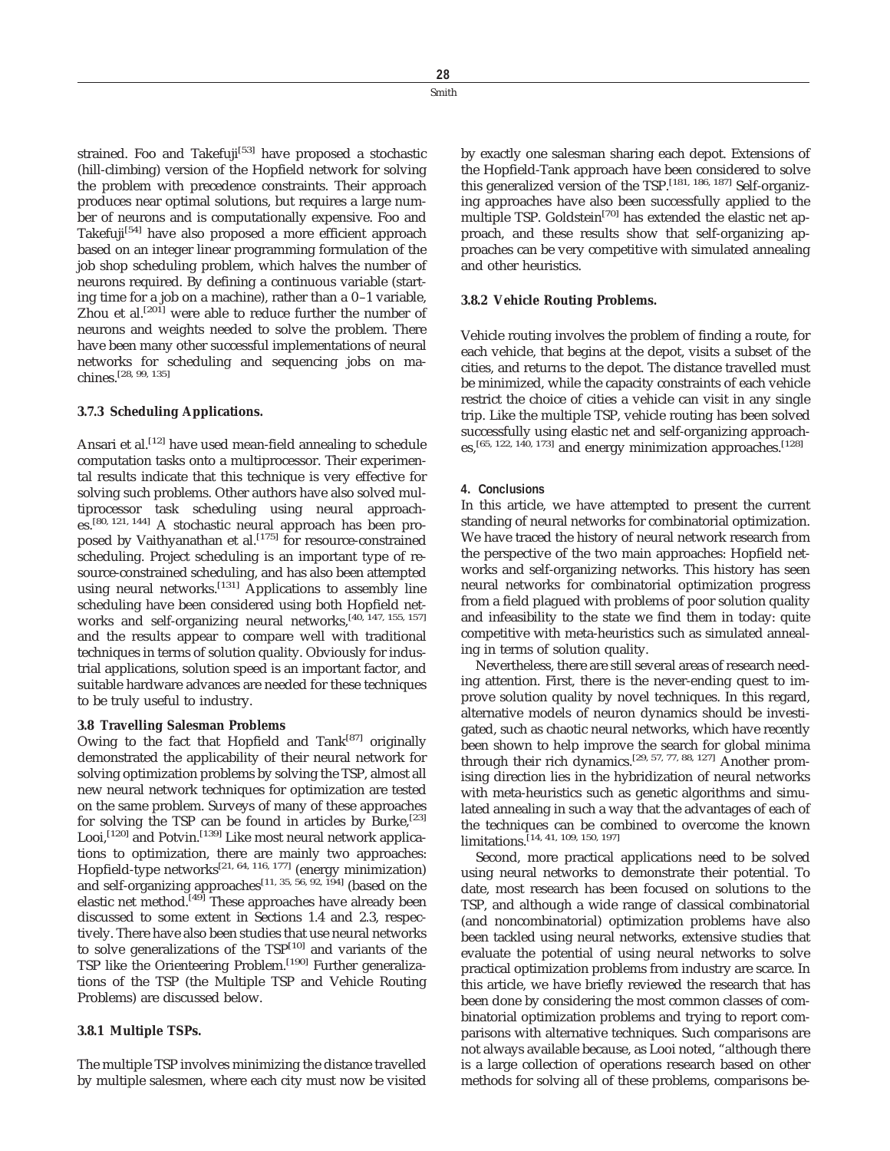strained. Foo and Takefuji<sup>[53]</sup> have proposed a stochastic (hill-climbing) version of the Hopfield network for solving the problem with precedence constraints. Their approach produces near optimal solutions, but requires a large number of neurons and is computationally expensive. Foo and Takefuji<sup>[54]</sup> have also proposed a more efficient approach based on an integer linear programming formulation of the job shop scheduling problem, which halves the number of neurons required. By defining a continuous variable (starting time for a job on a machine), rather than a 0–1 variable, Zhou et al.<sup>[201]</sup> were able to reduce further the number of neurons and weights needed to solve the problem. There have been many other successful implementations of neural networks for scheduling and sequencing jobs on machines.[28, 99, 135]

# **3.7.3 Scheduling Applications.**

Ansari et al.<sup>[12]</sup> have used mean-field annealing to schedule computation tasks onto a multiprocessor. Their experimental results indicate that this technique is very effective for solving such problems. Other authors have also solved multiprocessor task scheduling using neural approaches.<sup>[80, 121, 144]</sup> A stochastic neural approach has been proposed by Vaithyanathan et al.<sup>[175]</sup> for resource-constrained scheduling. Project scheduling is an important type of resource-constrained scheduling, and has also been attempted using neural networks.<sup>[131]</sup> Applications to assembly line scheduling have been considered using both Hopfield networks and self-organizing neural networks,<sup>[40, 147, 155, 157]</sup> and the results appear to compare well with traditional techniques in terms of solution quality. Obviously for industrial applications, solution speed is an important factor, and suitable hardware advances are needed for these techniques to be truly useful to industry.

#### **3.8 Travelling Salesman Problems**

Owing to the fact that Hopfield and Tank<sup>[87]</sup> originally demonstrated the applicability of their neural network for solving optimization problems by solving the TSP, almost all new neural network techniques for optimization are tested on the same problem. Surveys of many of these approaches for solving the TSP can be found in articles by Burke,<sup>[23]</sup> Looi,<sup>[120]</sup> and Potvin.<sup>[139]</sup> Like most neural network applications to optimization, there are mainly two approaches: Hopfield-type networks<sup>[21, 64, 116, 177]</sup> (energy minimization) and self-organizing approaches<sup>[11, 35, 56, 92, 194]</sup> (based on the elastic net method.<sup>[49]</sup> These approaches have already been discussed to some extent in Sections 1.4 and 2.3, respectively. There have also been studies that use neural networks to solve generalizations of the  $TSP<sup>[10]</sup>$  and variants of the TSP like the Orienteering Problem.<sup>[190]</sup> Further generalizations of the TSP (the Multiple TSP and Vehicle Routing Problems) are discussed below.

#### **3.8.1 Multiple TSPs.**

The multiple TSP involves minimizing the distance travelled by multiple salesmen, where each city must now be visited

by exactly one salesman sharing each depot. Extensions of the Hopfield-Tank approach have been considered to solve this generalized version of the TSP.<sup>[181, 186, 187]</sup> Self-organizing approaches have also been successfully applied to the multiple TSP. Goldstein<sup>[70]</sup> has extended the elastic net approach, and these results show that self-organizing approaches can be very competitive with simulated annealing and other heuristics.

# **3.8.2 Vehicle Routing Problems.**

Vehicle routing involves the problem of finding a route, for each vehicle, that begins at the depot, visits a subset of the cities, and returns to the depot. The distance travelled must be minimized, while the capacity constraints of each vehicle restrict the choice of cities a vehicle can visit in any single trip. Like the multiple TSP, vehicle routing has been solved successfully using elastic net and self-organizing approaches,<sup>[65, 122, 140, 173]</sup> and energy minimization approaches.<sup>[128]</sup>

# **4. Conclusions**

In this article, we have attempted to present the current standing of neural networks for combinatorial optimization. We have traced the history of neural network research from the perspective of the two main approaches: Hopfield networks and self-organizing networks. This history has seen neural networks for combinatorial optimization progress from a field plagued with problems of poor solution quality and infeasibility to the state we find them in today: quite competitive with meta-heuristics such as simulated annealing in terms of solution quality.

Nevertheless, there are still several areas of research needing attention. First, there is the never-ending quest to improve solution quality by novel techniques. In this regard, alternative models of neuron dynamics should be investigated, such as chaotic neural networks, which have recently been shown to help improve the search for global minima through their rich dynamics.<sup>[29, 57, 77, 88, 127]</sup> Another promising direction lies in the hybridization of neural networks with meta-heuristics such as genetic algorithms and simulated annealing in such a way that the advantages of each of the techniques can be combined to overcome the known limitations.<sup>[14, 41, 109, 150, 197]</sup>

Second, more practical applications need to be solved using neural networks to demonstrate their potential. To date, most research has been focused on solutions to the TSP, and although a wide range of classical combinatorial (and noncombinatorial) optimization problems have also been tackled using neural networks, extensive studies that evaluate the potential of using neural networks to solve practical optimization problems from industry are scarce. In this article, we have briefly reviewed the research that has been done by considering the most common classes of combinatorial optimization problems and trying to report comparisons with alternative techniques. Such comparisons are not always available because, as Looi noted, "although there is a large collection of operations research based on other methods for solving all of these problems, comparisons be-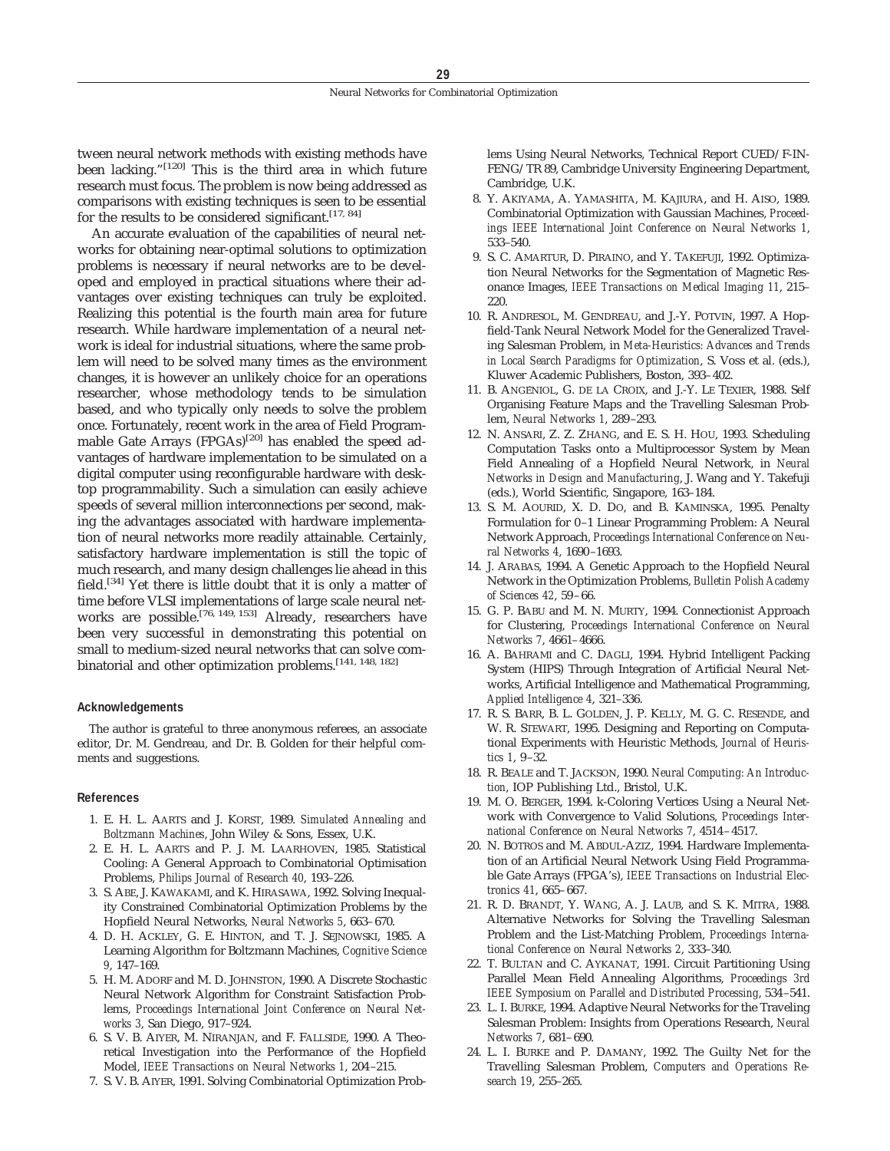tween neural network methods with existing methods have been lacking." $[120]$  This is the third area in which future research must focus. The problem is now being addressed as comparisons with existing techniques is seen to be essential for the results to be considered significant.<sup>[17, 84]</sup>

An accurate evaluation of the capabilities of neural networks for obtaining near-optimal solutions to optimization problems is necessary if neural networks are to be developed and employed in practical situations where their advantages over existing techniques can truly be exploited. Realizing this potential is the fourth main area for future research. While hardware implementation of a neural network is ideal for industrial situations, where the same problem will need to be solved many times as the environment changes, it is however an unlikely choice for an operations researcher, whose methodology tends to be simulation based, and who typically only needs to solve the problem once. Fortunately, recent work in the area of Field Programmable Gate Arrays (FPGAs)<sup>[20]</sup> has enabled the speed advantages of hardware implementation to be simulated on a digital computer using reconfigurable hardware with desktop programmability. Such a simulation can easily achieve speeds of several million interconnections per second, making the advantages associated with hardware implementation of neural networks more readily attainable. Certainly, satisfactory hardware implementation is still the topic of much research, and many design challenges lie ahead in this field.[34] Yet there is little doubt that it is only a matter of time before VLSI implementations of large scale neural networks are possible.<sup>[76, 149, 153]</sup> Already, researchers have been very successful in demonstrating this potential on small to medium-sized neural networks that can solve combinatorial and other optimization problems.<sup>[141, 148, 182]</sup>

#### **Acknowledgements**

The author is grateful to three anonymous referees, an associate editor, Dr. M. Gendreau, and Dr. B. Golden for their helpful comments and suggestions.

#### **References**

- 1. E. H. L. AARTS and J. KORST, 1989. *Simulated Annealing and Boltzmann Machines*, John Wiley & Sons, Essex, U.K.
- 2. E. H. L. AARTS and P. J. M. LAARHOVEN, 1985. Statistical Cooling: A General Approach to Combinatorial Optimisation Problems, *Philips Journal of Research 40*, 193–226.
- 3. S. ABE, J. KAWAKAMI, and K. HIRASAWA, 1992. Solving Inequality Constrained Combinatorial Optimization Problems by the Hopfield Neural Networks, *Neural Networks 5*, 663–670.
- 4. D. H. ACKLEY, G. E. HINTON, and T. J. SEJNOWSKI, 1985. A Learning Algorithm for Boltzmann Machines, *Cognitive Science 9*, 147–169.
- 5. H. M. ADORF and M. D. JOHNSTON, 1990. A Discrete Stochastic Neural Network Algorithm for Constraint Satisfaction Problems, *Proceedings International Joint Conference on Neural Networks 3*, San Diego, 917–924.
- 6. S. V. B. AIYER, M. NIRANJAN, and F. FALLSIDE, 1990. A Theoretical Investigation into the Performance of the Hopfield Model, *IEEE Transactions on Neural Networks 1*, 204–215.
- 7. S. V. B. AIYER, 1991. Solving Combinatorial Optimization Prob-

lems Using Neural Networks, Technical Report CUED/F-IN-FENG/TR 89, Cambridge University Engineering Department, Cambridge, U.K.

- 8. Y. AKIYAMA, A. YAMASHITA, M. KAJIURA, and H. AISO, 1989. Combinatorial Optimization with Gaussian Machines, *Proceedings IEEE International Joint Conference on Neural Networks 1*, 533–540.
- 9. S. C. AMARTUR, D. PIRAINO, and Y. TAKEFUJI, 1992. Optimization Neural Networks for the Segmentation of Magnetic Resonance Images, *IEEE Transactions on Medical Imaging 11*, 215– 220.
- 10. R. ANDRESOL, M. GENDREAU, and J.-Y. POTVIN, 1997. A Hopfield-Tank Neural Network Model for the Generalized Traveling Salesman Problem, in *Meta-Heuristics: Advances and Trends in Local Search Paradigms for Optimization*, S. Voss et al. (eds.), Kluwer Academic Publishers, Boston, 393–402.
- 11. B. ANGENIOL, G. DE LA CROIX, and J.-Y. LE TEXIER, 1988. Self Organising Feature Maps and the Travelling Salesman Problem, *Neural Networks 1*, 289–293.
- 12. N. ANSARI, Z. Z. ZHANG, and E. S. H. HOU, 1993. Scheduling Computation Tasks onto a Multiprocessor System by Mean Field Annealing of a Hopfield Neural Network, in *Neural Networks in Design and Manufacturing*, J. Wang and Y. Takefuji (eds.), World Scientific, Singapore, 163–184.
- 13. S. M. AOURID, X. D. DO, and B. KAMINSKA, 1995. Penalty Formulation for 0–1 Linear Programming Problem: A Neural Network Approach, *Proceedings International Conference on Neural Networks 4*, 1690–1693.
- 14. J. ARABAS, 1994. A Genetic Approach to the Hopfield Neural Network in the Optimization Problems, *Bulletin Polish Academy of Sciences 42*, 59–66.
- 15. G. P. BABU and M. N. MURTY, 1994. Connectionist Approach for Clustering, *Proceedings International Conference on Neural Networks 7*, 4661–4666.
- 16. A. BAHRAMI and C. DAGLI, 1994. Hybrid Intelligent Packing System (HIPS) Through Integration of Artificial Neural Networks, Artificial Intelligence and Mathematical Programming, *Applied Intelligence 4*, 321–336.
- 17. R. S. BARR, B. L. GOLDEN, J. P. KELLY, M. G. C. RESENDE, and W. R. STEWART, 1995. Designing and Reporting on Computational Experiments with Heuristic Methods, *Journal of Heuristics 1*, 9–32.
- 18. R. BEALE and T. JACKSON, 1990. *Neural Computing: An Introduction*, IOP Publishing Ltd., Bristol, U.K.
- 19. M. O. BERGER, 1994. k-Coloring Vertices Using a Neural Network with Convergence to Valid Solutions, *Proceedings International Conference on Neural Networks 7*, 4514–4517.
- 20. N. BOTROS and M. ABDUL-AZIZ, 1994. Hardware Implementation of an Artificial Neural Network Using Field Programmable Gate Arrays (FPGA's), *IEEE Transactions on Industrial Electronics 41*, 665–667.
- 21. R. D. BRANDT, Y. WANG, A. J. LAUB, and S. K. MITRA, 1988. Alternative Networks for Solving the Travelling Salesman Problem and the List-Matching Problem, *Proceedings International Conference on Neural Networks 2*, 333–340.
- 22. T. BULTAN and C. AYKANAT, 1991. Circuit Partitioning Using Parallel Mean Field Annealing Algorithms, *Proceedings 3rd IEEE Symposium on Parallel and Distributed Processing*, 534–541.
- 23. L. I. BURKE, 1994. Adaptive Neural Networks for the Traveling Salesman Problem: Insights from Operations Research, *Neural Networks 7*, 681–690.
- 24. L. I. BURKE and P. DAMANY, 1992. The Guilty Net for the Travelling Salesman Problem, *Computers and Operations Research 19*, 255–265.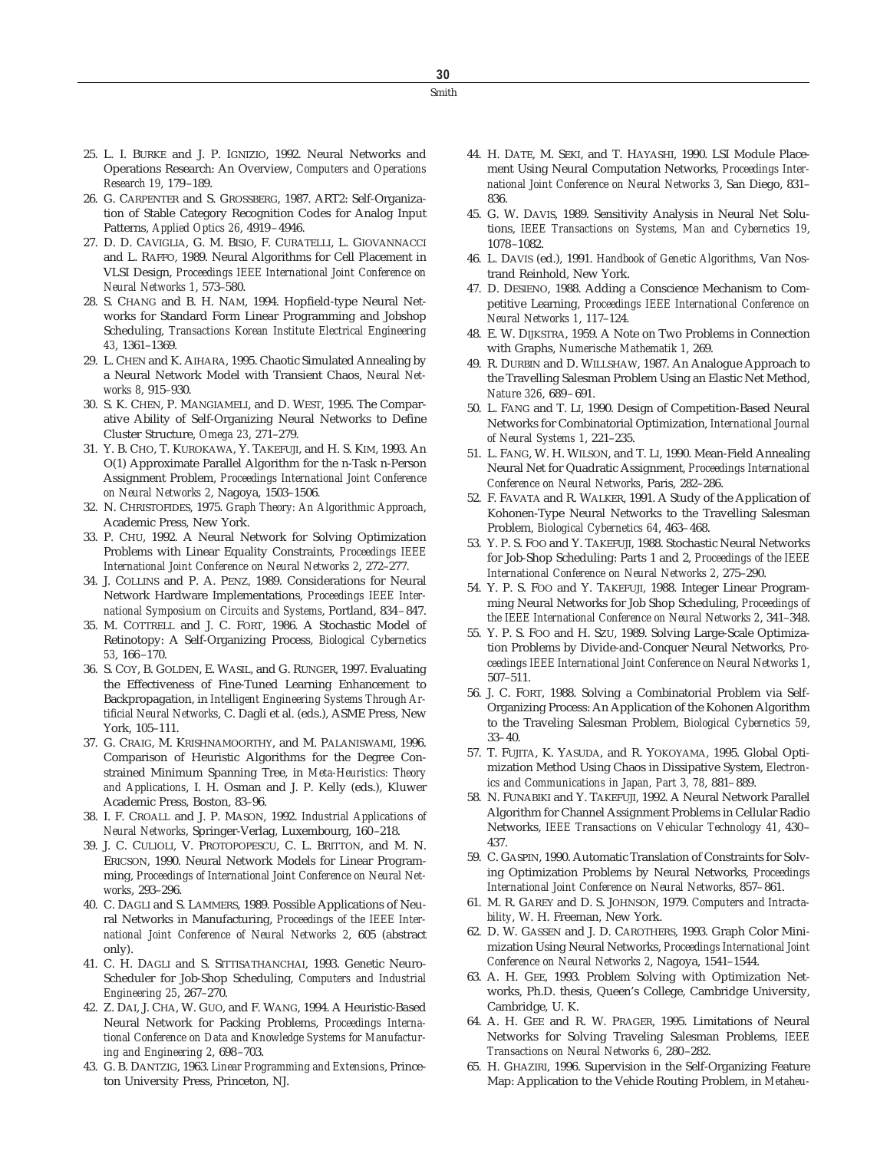- 25. L. I. BURKE and J. P. IGNIZIO, 1992. Neural Networks and Operations Research: An Overview, *Computers and Operations Research 19*, 179–189.
- 26. G. CARPENTER and S. GROSSBERG, 1987. ART2: Self-Organization of Stable Category Recognition Codes for Analog Input Patterns, *Applied Optics 26*, 4919–4946.
- 27. D. D. CAVIGLIA, G. M. BISIO, F. CURATELLI, L. GIOVANNACCI and L. RAFFO, 1989. Neural Algorithms for Cell Placement in VLSI Design, *Proceedings IEEE International Joint Conference on Neural Networks 1*, 573–580.
- 28. S. CHANG and B. H. NAM, 1994. Hopfield-type Neural Networks for Standard Form Linear Programming and Jobshop Scheduling, *Transactions Korean Institute Electrical Engineering 43*, 1361–1369.
- 29. L. CHEN and K. AIHARA, 1995. Chaotic Simulated Annealing by a Neural Network Model with Transient Chaos, *Neural Networks 8*, 915–930.
- 30. S. K. CHEN, P. MANGIAMELI, and D. WEST, 1995. The Comparative Ability of Self-Organizing Neural Networks to Define Cluster Structure, *Omega 23*, 271–279.
- 31. Y. B. CHO, T. KUROKAWA, Y. TAKEFUJI, and H. S. KIM, 1993. An O(1) Approximate Parallel Algorithm for the n-Task n-Person Assignment Problem, *Proceedings International Joint Conference on Neural Networks 2*, Nagoya, 1503–1506.
- 32. N. CHRISTOFIDES, 1975. *Graph Theory: An Algorithmic Approach*, Academic Press, New York.
- 33. P. CHU, 1992. A Neural Network for Solving Optimization Problems with Linear Equality Constraints, *Proceedings IEEE International Joint Conference on Neural Networks 2*, 272–277.
- 34. J. COLLINS and P. A. PENZ, 1989. Considerations for Neural Network Hardware Implementations, *Proceedings IEEE International Symposium on Circuits and Systems*, Portland, 834–847.
- 35. M. COTTRELL and J. C. FORT, 1986. A Stochastic Model of Retinotopy: A Self-Organizing Process, *Biological Cybernetics 53*, 166–170.
- 36. S. COY, B. GOLDEN, E. WASIL, and G. RUNGER, 1997. Evaluating the Effectiveness of Fine-Tuned Learning Enhancement to Backpropagation, in *Intelligent Engineering Systems Through Artificial Neural Networks*, C. Dagli et al. (eds.), ASME Press, New York, 105–111.
- 37. G. CRAIG, M. KRISHNAMOORTHY, and M. PALANISWAMI, 1996. Comparison of Heuristic Algorithms for the Degree Constrained Minimum Spanning Tree, in *Meta-Heuristics: Theory and Applications*, I. H. Osman and J. P. Kelly (eds.), Kluwer Academic Press, Boston, 83–96.
- 38. I. F. CROALL and J. P. MASON, 1992. *Industrial Applications of Neural Networks*, Springer-Verlag, Luxembourg, 160–218.
- 39. J. C. CULIOLI, V. PROTOPOPESCU, C. L. BRITTON, and M. N. ERICSON, 1990. Neural Network Models for Linear Programming, *Proceedings of International Joint Conference on Neural Networks*, 293–296.
- 40. C. DAGLI and S. LAMMERS, 1989. Possible Applications of Neural Networks in Manufacturing, *Proceedings of the IEEE International Joint Conference of Neural Networks 2*, 605 (abstract only).
- 41. C. H. DAGLI and S. SITTISATHANCHAI, 1993. Genetic Neuro-Scheduler for Job-Shop Scheduling, *Computers and Industrial Engineering 25*, 267–270.
- 42. Z. DAI, J. CHA, W. GUO, and F. WANG, 1994. A Heuristic-Based Neural Network for Packing Problems, *Proceedings International Conference on Data and Knowledge Systems for Manufacturing and Engineering 2*, 698–703.
- 43. G. B. DANTZIG, 1963. *Linear Programming and Extensions*, Princeton University Press, Princeton, NJ.
- 44. H. DATE, M. SEKI, and T. HAYASHI, 1990. LSI Module Placement Using Neural Computation Networks, *Proceedings International Joint Conference on Neural Networks 3*, San Diego, 831– 836.
- 45. G. W. DAVIS, 1989. Sensitivity Analysis in Neural Net Solutions, *IEEE Transactions on Systems, Man and Cybernetics 19*, 1078–1082.
- 46. L. DAVIS (ed.), 1991. *Handbook of Genetic Algorithms*, Van Nostrand Reinhold, New York.
- 47. D. DESIENO, 1988. Adding a Conscience Mechanism to Competitive Learning, *Proceedings IEEE International Conference on Neural Networks 1*, 117–124.
- 48. E. W. DIJKSTRA, 1959. A Note on Two Problems in Connection with Graphs, *Numerische Mathematik 1*, 269.
- 49. R. DURBIN and D. WILLSHAW, 1987. An Analogue Approach to the Travelling Salesman Problem Using an Elastic Net Method, *Nature 326*, 689–691.
- 50. L. FANG and T. LI, 1990. Design of Competition-Based Neural Networks for Combinatorial Optimization, *International Journal of Neural Systems 1*, 221–235.
- 51. L. FANG, W. H. WILSON, and T. LI, 1990. Mean-Field Annealing Neural Net for Quadratic Assignment, *Proceedings International Conference on Neural Networks*, Paris, 282–286.
- 52. F. FAVATA and R. WALKER, 1991. A Study of the Application of Kohonen-Type Neural Networks to the Travelling Salesman Problem, *Biological Cybernetics 64*, 463–468.
- 53. Y. P. S. FOO and Y. TAKEFUJI, 1988. Stochastic Neural Networks for Job-Shop Scheduling: Parts 1 and 2, *Proceedings of the IEEE International Conference on Neural Networks 2*, 275–290.
- 54. Y. P. S. FOO and Y. TAKEFUJI, 1988. Integer Linear Programming Neural Networks for Job Shop Scheduling, *Proceedings of the IEEE International Conference on Neural Networks 2*, 341–348.
- 55. Y. P. S. FOO and H. SZU, 1989. Solving Large-Scale Optimization Problems by Divide-and-Conquer Neural Networks, *Proceedings IEEE International Joint Conference on Neural Networks 1*, 507–511.
- 56. J. C. FORT, 1988. Solving a Combinatorial Problem via Self-Organizing Process: An Application of the Kohonen Algorithm to the Traveling Salesman Problem, *Biological Cybernetics 59*, 33–40.
- 57. T. FUJITA, K. YASUDA, and R. YOKOYAMA, 1995. Global Optimization Method Using Chaos in Dissipative System, *Electronics and Communications in Japan, Part 3, 78*, 881–889.
- 58. N. FUNABIKI and Y. TAKEFUJI, 1992. A Neural Network Parallel Algorithm for Channel Assignment Problems in Cellular Radio Networks, *IEEE Transactions on Vehicular Technology 41*, 430– 437.
- 59. C. GASPIN, 1990. Automatic Translation of Constraints for Solving Optimization Problems by Neural Networks, *Proceedings International Joint Conference on Neural Networks*, 857–861.
- 61. M. R. GAREY and D. S. JOHNSON, 1979. *Computers and Intractability*, W. H. Freeman, New York.
- 62. D. W. GASSEN and J. D. CAROTHERS, 1993. Graph Color Minimization Using Neural Networks, *Proceedings International Joint Conference on Neural Networks 2*, Nagoya, 1541–1544.
- 63. A. H. GEE, 1993. Problem Solving with Optimization Networks, Ph.D. thesis, Queen's College, Cambridge University, Cambridge, U. K.
- 64. A. H. GEE and R. W. PRAGER, 1995. Limitations of Neural Networks for Solving Traveling Salesman Problems, *IEEE Transactions on Neural Networks 6*, 280–282.
- 65. H. GHAZIRI, 1996. Supervision in the Self-Organizing Feature Map: Application to the Vehicle Routing Problem, in *Metaheu-*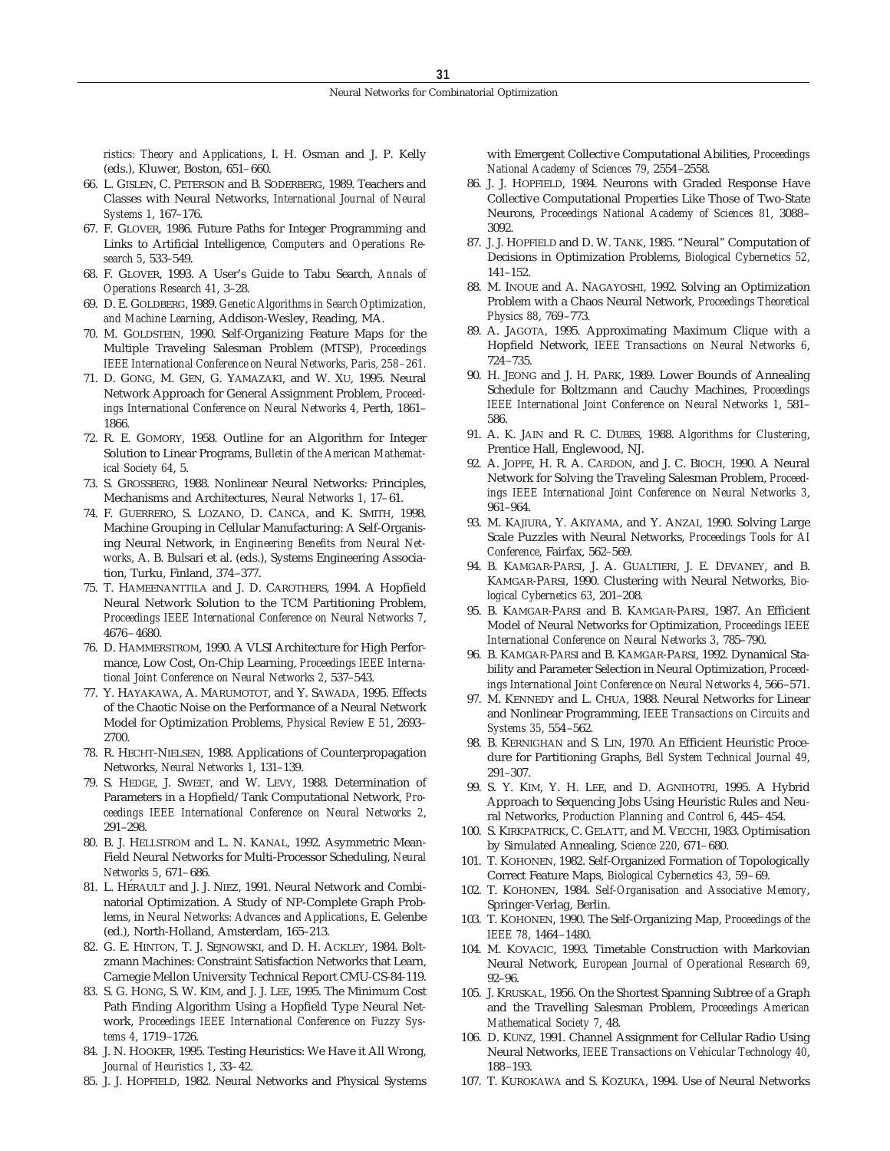*ristics: Theory and Applications*, I. H. Osman and J. P. Kelly (eds.), Kluwer, Boston, 651–660.

- 66. L. GISLEN, C. PETERSON and B. SODERBERG, 1989. Teachers and Classes with Neural Networks, *International Journal of Neural Systems 1*, 167–176.
- 67. F. GLOVER, 1986. Future Paths for Integer Programming and Links to Artificial Intelligence, *Computers and Operations Research 5*, 533–549.
- 68. F. GLOVER, 1993. A User's Guide to Tabu Search, *Annals of Operations Research 41*, 3–28.
- 69. D. E. GOLDBERG, 1989. *Genetic Algorithms in Search Optimization, and Machine Learning*, Addison-Wesley, Reading, MA.
- 70. M. GOLDSTEIN, 1990. Self-Organizing Feature Maps for the Multiple Traveling Salesman Problem (MTSP), *Proceedings IEEE International Conference on Neural Networks, Paris, 258–261.*
- 71. D. GONG, M. GEN, G. YAMAZAKI, and W. XU, 1995. Neural Network Approach for General Assignment Problem, *Proceedings International Conference on Neural Networks 4*, Perth, 1861– 1866.
- 72. R. E. GOMORY, 1958. Outline for an Algorithm for Integer Solution to Linear Programs, *Bulletin of the American Mathematical Society 64*, 5.
- 73. S. GROSSBERG, 1988. Nonlinear Neural Networks: Principles, Mechanisms and Architectures, *Neural Networks 1*, 17–61.
- 74. F. GUERRERO, S. LOZANO, D. CANCA, and K. SMITH, 1998. Machine Grouping in Cellular Manufacturing: A Self-Organising Neural Network, in *Engineering Benefits from Neural Networks*, A. B. Bulsari et al. (eds.), Systems Engineering Association, Turku, Finland, 374–377.
- 75. T. HAMEENANTTILA and J. D. CAROTHERS, 1994. A Hopfield Neural Network Solution to the TCM Partitioning Problem, *Proceedings IEEE International Conference on Neural Networks 7*, 4676–4680.
- 76. D. HAMMERSTROM, 1990. A VLSI Architecture for High Performance, Low Cost, On-Chip Learning, *Proceedings IEEE International Joint Conference on Neural Networks 2*, 537–543.
- 77. Y. HAYAKAWA, A. MARUMOTOT, and Y. SAWADA, 1995. Effects of the Chaotic Noise on the Performance of a Neural Network Model for Optimization Problems, *Physical Review E 51*, 2693– 2700.
- 78. R. HECHT-NIELSEN, 1988. Applications of Counterpropagation Networks, *Neural Networks 1*, 131–139.
- 79. S. HEDGE, J. SWEET, and W. LEVY, 1988. Determination of Parameters in a Hopfield/Tank Computational Network, *Proceedings IEEE International Conference on Neural Networks 2*, 291–298.
- 80. B. J. HELLSTROM and L. N. KANAL, 1992. Asymmetric Mean-Field Neural Networks for Multi-Processor Scheduling, *Neural Networks 5*, 671–686.
- 81. L. HÉRAULT and J. J. NIEZ, 1991. Neural Network and Combinatorial Optimization. A Study of NP-Complete Graph Problems, in *Neural Networks: Advances and Applications*, E. Gelenbe (ed.), North-Holland, Amsterdam, 165–213.
- 82. G. E. HINTON, T. J. SEJNOWSKI, and D. H. ACKLEY, 1984. Boltzmann Machines: Constraint Satisfaction Networks that Learn, Carnegie Mellon University Technical Report CMU-CS-84-119.
- 83. S. G. HONG, S. W. KIM, and J. J. LEE, 1995. The Minimum Cost Path Finding Algorithm Using a Hopfield Type Neural Network, *Proceedings IEEE International Conference on Fuzzy Systems 4*, 1719–1726.
- 84. J. N. HOOKER, 1995. Testing Heuristics: We Have it All Wrong, *Journal of Heuristics 1*, 33–42.
- 85. J. J. HOPFIELD, 1982. Neural Networks and Physical Systems

with Emergent Collective Computational Abilities, *Proceedings National Academy of Sciences 79*, 2554–2558.

- 86. J. J. HOPFIELD, 1984. Neurons with Graded Response Have Collective Computational Properties Like Those of Two-State Neurons, *Proceedings National Academy of Sciences 81*, 3088– 3092.
- 87. J. J. HOPFIELD and D. W. TANK, 1985. "Neural" Computation of Decisions in Optimization Problems, *Biological Cybernetics 52*, 141–152.
- 88. M. INOUE and A. NAGAYOSHI, 1992. Solving an Optimization Problem with a Chaos Neural Network, *Proceedings Theoretical Physics 88*, 769–773.
- 89. A. JAGOTA, 1995. Approximating Maximum Clique with a Hopfield Network, *IEEE Transactions on Neural Networks 6*, 724–735.
- 90. H. JEONG and J. H. PARK, 1989. Lower Bounds of Annealing Schedule for Boltzmann and Cauchy Machines, *Proceedings IEEE International Joint Conference on Neural Networks 1*, 581– 586.
- 91. A. K. JAIN and R. C. DUBES, 1988. *Algorithms for Clustering*, Prentice Hall, Englewood, NJ.
- 92. A. JOPPE, H. R. A. CARDON, and J. C. BIOCH, 1990. A Neural Network for Solving the Traveling Salesman Problem, *Proceedings IEEE International Joint Conference on Neural Networks 3*, 961–964.
- 93. M. KAJIURA, Y. AKIYAMA, and Y. ANZAI, 1990. Solving Large Scale Puzzles with Neural Networks, *Proceedings Tools for AI Conference*, Fairfax, 562–569.
- 94. B. KAMGAR-PARSI, J. A. GUALTIERI, J. E. DEVANEY, and B. KAMGAR-PARSI, 1990. Clustering with Neural Networks, *Biological Cybernetics 63*, 201–208.
- 95. B. KAMGAR-PARSI and B. KAMGAR-PARSI, 1987. An Efficient Model of Neural Networks for Optimization, *Proceedings IEEE International Conference on Neural Networks 3*, 785–790.
- 96. B. KAMGAR-PARSI and B. KAMGAR-PARSI, 1992. Dynamical Stability and Parameter Selection in Neural Optimization, *Proceedings International Joint Conference on Neural Networks 4*, 566–571.
- 97. M. KENNEDY and L. CHUA, 1988. Neural Networks for Linear and Nonlinear Programming, *IEEE Transactions on Circuits and Systems 35*, 554–562.
- 98. B. KERNIGHAN and S. LIN, 1970. An Efficient Heuristic Procedure for Partitioning Graphs, *Bell System Technical Journal 49*, 291–307.
- 99. S. Y. KIM, Y. H. LEE, and D. AGNIHOTRI, 1995. A Hybrid Approach to Sequencing Jobs Using Heuristic Rules and Neural Networks, *Production Planning and Control 6*, 445–454.
- 100. S. KIRKPATRICK, C. GELATT, and M. VECCHI, 1983. Optimisation by Simulated Annealing, *Science 220*, 671–680.
- 101. T. KOHONEN, 1982. Self-Organized Formation of Topologically Correct Feature Maps, *Biological Cybernetics 43*, 59–69.
- 102. T. KOHONEN, 1984. *Self-Organisation and Associative Memory*, Springer-Verlag, Berlin.
- 103. T. KOHONEN, 1990. The Self-Organizing Map, *Proceedings of the IEEE 78*, 1464–1480.
- 104. M. KOVACIC, 1993. Timetable Construction with Markovian Neural Network, *European Journal of Operational Research 69*, 92–96.
- 105. J. KRUSKAL, 1956. On the Shortest Spanning Subtree of a Graph and the Travelling Salesman Problem, *Proceedings American Mathematical Society 7*, 48.
- 106. D. KUNZ, 1991. Channel Assignment for Cellular Radio Using Neural Networks, *IEEE Transactions on Vehicular Technology 40*, 188–193.
- 107. T. KUROKAWA and S. KOZUKA, 1994. Use of Neural Networks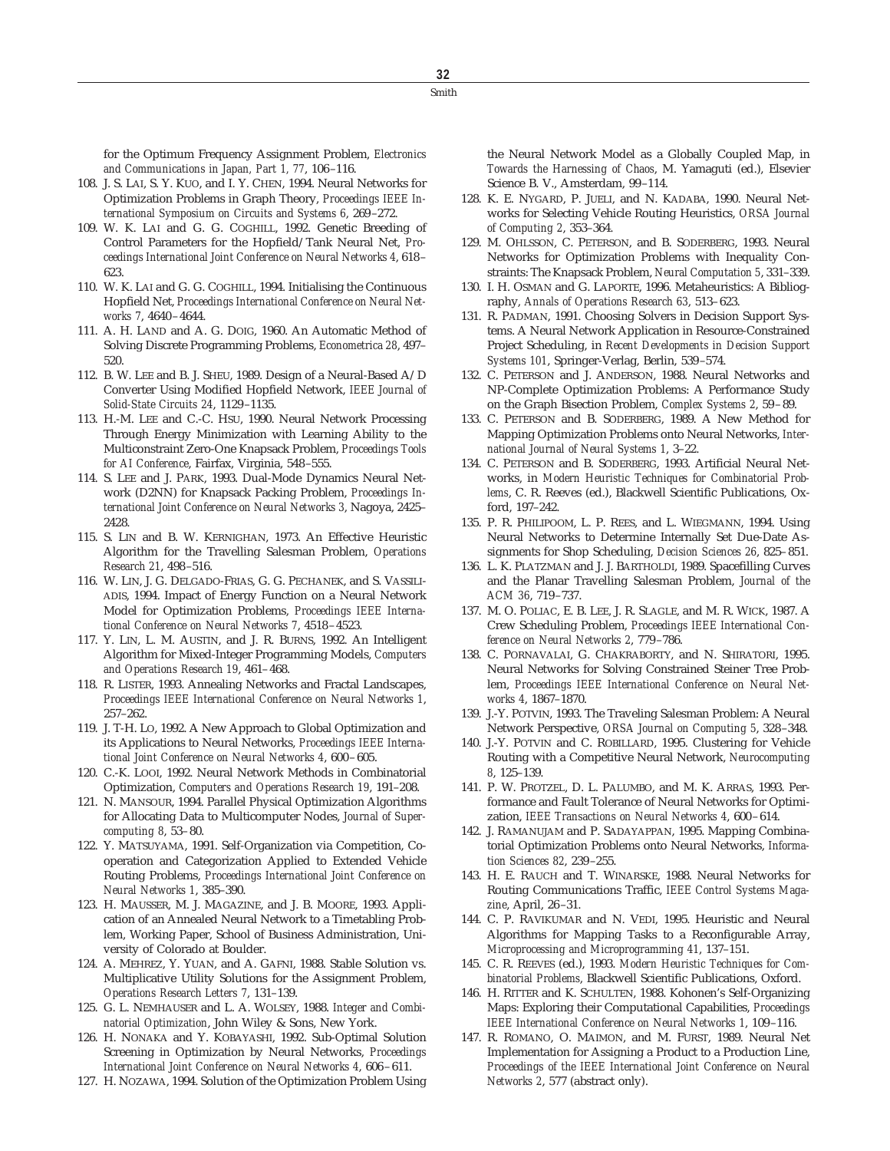for the Optimum Frequency Assignment Problem, *Electronics and Communications in Japan, Part 1, 77*, 106–116.

- 108. J. S. LAI, S. Y. KUO, and I. Y. CHEN, 1994. Neural Networks for Optimization Problems in Graph Theory, *Proceedings IEEE International Symposium on Circuits and Systems 6*, 269–272.
- 109. W. K. LAI and G. G. COGHILL, 1992. Genetic Breeding of Control Parameters for the Hopfield/Tank Neural Net, *Proceedings International Joint Conference on Neural Networks 4*, 618– 623.
- 110. W. K. LAI and G. G. COGHILL, 1994. Initialising the Continuous Hopfield Net, *Proceedings International Conference on Neural Networks 7*, 4640–4644.
- 111. A. H. LAND and A. G. DOIG, 1960. An Automatic Method of Solving Discrete Programming Problems, *Econometrica 28*, 497– 520.
- 112. B. W. LEE and B. J. SHEU, 1989. Design of a Neural-Based A/D Converter Using Modified Hopfield Network, *IEEE Journal of Solid-State Circuits 24*, 1129–1135.
- 113. H.-M. LEE and C.-C. HSU, 1990. Neural Network Processing Through Energy Minimization with Learning Ability to the Multiconstraint Zero-One Knapsack Problem, *Proceedings Tools for AI Conference*, Fairfax, Virginia, 548–555.
- 114. S. LEE and J. PARK, 1993. Dual-Mode Dynamics Neural Network (D2NN) for Knapsack Packing Problem, *Proceedings International Joint Conference on Neural Networks 3*, Nagoya, 2425– 2428.
- 115. S. LIN and B. W. KERNIGHAN, 1973. An Effective Heuristic Algorithm for the Travelling Salesman Problem, *Operations Research 21*, 498–516.
- 116. W. LIN, J. G. DELGADO-FRIAS, G. G. PECHANEK, and S. VASSILI-ADIS, 1994. Impact of Energy Function on a Neural Network Model for Optimization Problems, *Proceedings IEEE International Conference on Neural Networks 7*, 4518–4523.
- 117. Y. LIN, L. M. AUSTIN, and J. R. BURNS, 1992. An Intelligent Algorithm for Mixed-Integer Programming Models, *Computers and Operations Research 19*, 461–468.
- 118. R. LISTER, 1993. Annealing Networks and Fractal Landscapes, *Proceedings IEEE International Conference on Neural Networks 1*, 257–262.
- 119. J. T-H. LO, 1992. A New Approach to Global Optimization and its Applications to Neural Networks, *Proceedings IEEE International Joint Conference on Neural Networks 4*, 600–605.
- 120. C.-K. LOOI, 1992. Neural Network Methods in Combinatorial Optimization, *Computers and Operations Research 19*, 191–208.
- 121. N. MANSOUR, 1994. Parallel Physical Optimization Algorithms for Allocating Data to Multicomputer Nodes, *Journal of Supercomputing 8*, 53–80.
- 122. Y. MATSUYAMA, 1991. Self-Organization via Competition, Cooperation and Categorization Applied to Extended Vehicle Routing Problems, *Proceedings International Joint Conference on Neural Networks 1*, 385–390.
- 123. H. MAUSSER, M. J. MAGAZINE, and J. B. MOORE, 1993. Application of an Annealed Neural Network to a Timetabling Problem, Working Paper, School of Business Administration, University of Colorado at Boulder.
- 124. A. MEHREZ, Y. YUAN, and A. GAFNI, 1988. Stable Solution vs. Multiplicative Utility Solutions for the Assignment Problem, *Operations Research Letters 7*, 131–139.
- 125. G. L. NEMHAUSER and L. A. WOLSEY, 1988. *Integer and Combinatorial Optimization*, John Wiley & Sons, New York.
- 126. H. NONAKA and Y. KOBAYASHI, 1992. Sub-Optimal Solution Screening in Optimization by Neural Networks, *Proceedings International Joint Conference on Neural Networks 4*, 606–611.
- 127. H. NOZAWA, 1994. Solution of the Optimization Problem Using

the Neural Network Model as a Globally Coupled Map, in *Towards the Harnessing of Chaos*, M. Yamaguti (ed.), Elsevier Science B. V., Amsterdam, 99–114.

- 128. K. E. NYGARD, P. JUELI, and N. KADABA, 1990. Neural Networks for Selecting Vehicle Routing Heuristics, *ORSA Journal of Computing 2*, 353–364.
- 129. M. OHLSSON, C. PETERSON, and B. SODERBERG, 1993. Neural Networks for Optimization Problems with Inequality Constraints: The Knapsack Problem, *Neural Computation 5*, 331–339.
- 130. I. H. OSMAN and G. LAPORTE, 1996. Metaheuristics: A Bibliography, *Annals of Operations Research 63*, 513–623.
- 131. R. PADMAN, 1991. Choosing Solvers in Decision Support Systems. A Neural Network Application in Resource-Constrained Project Scheduling, in *Recent Developments in Decision Support Systems 101*, Springer-Verlag, Berlin, 539–574.
- 132. C. PETERSON and J. ANDERSON, 1988. Neural Networks and NP-Complete Optimization Problems: A Performance Study on the Graph Bisection Problem, *Complex Systems 2*, 59–89.
- 133. C. PETERSON and B. SODERBERG, 1989. A New Method for Mapping Optimization Problems onto Neural Networks, *International Journal of Neural Systems 1*, 3–22.
- 134. C. PETERSON and B. SODERBERG, 1993. Artificial Neural Networks, in *Modern Heuristic Techniques for Combinatorial Problems*, C. R. Reeves (ed.), Blackwell Scientific Publications, Oxford, 197–242.
- 135. P. R. PHILIPOOM, L. P. REES, and L. WIEGMANN, 1994. Using Neural Networks to Determine Internally Set Due-Date Assignments for Shop Scheduling, *Decision Sciences 26*, 825–851.
- 136. L. K. PLATZMAN and J. J. BARTHOLDI, 1989. Spacefilling Curves and the Planar Travelling Salesman Problem, *Journal of the ACM 36*, 719–737.
- 137. M. O. POLIAC, E. B. LEE, J. R. SLAGLE, and M. R. WICK, 1987. A Crew Scheduling Problem, *Proceedings IEEE International Conference on Neural Networks 2*, 779–786.
- 138. C. PORNAVALAI, G. CHAKRABORTY, and N. SHIRATORI, 1995. Neural Networks for Solving Constrained Steiner Tree Problem, *Proceedings IEEE International Conference on Neural Networks 4*, 1867–1870.
- 139. J.-Y. POTVIN, 1993. The Traveling Salesman Problem: A Neural Network Perspective, *ORSA Journal on Computing 5*, 328–348.
- 140. J.-Y. POTVIN and C. ROBILLARD, 1995. Clustering for Vehicle Routing with a Competitive Neural Network, *Neurocomputing 8*, 125–139.
- 141. P. W. PROTZEL, D. L. PALUMBO, and M. K. ARRAS, 1993. Performance and Fault Tolerance of Neural Networks for Optimization, *IEEE Transactions on Neural Networks 4*, 600–614.
- 142. J. RAMANUJAM and P. SADAYAPPAN, 1995. Mapping Combinatorial Optimization Problems onto Neural Networks, *Information Sciences 82*, 239–255.
- 143. H. E. RAUCH and T. WINARSKE, 1988. Neural Networks for Routing Communications Traffic, *IEEE Control Systems Magazine*, April, 26–31.
- 144. C. P. RAVIKUMAR and N. VEDI, 1995. Heuristic and Neural Algorithms for Mapping Tasks to a Reconfigurable Array, *Microprocessing and Microprogramming 41*, 137–151.
- 145. C. R. REEVES (ed.), 1993. *Modern Heuristic Techniques for Combinatorial Problems*, Blackwell Scientific Publications, Oxford.
- 146. H. RITTER and K. SCHULTEN, 1988. Kohonen's Self-Organizing Maps: Exploring their Computational Capabilities, *Proceedings IEEE International Conference on Neural Networks 1*, 109–116.
- 147. R. ROMANO, O. MAIMON, and M. FURST, 1989. Neural Net Implementation for Assigning a Product to a Production Line, *Proceedings of the IEEE International Joint Conference on Neural Networks 2*, 577 (abstract only).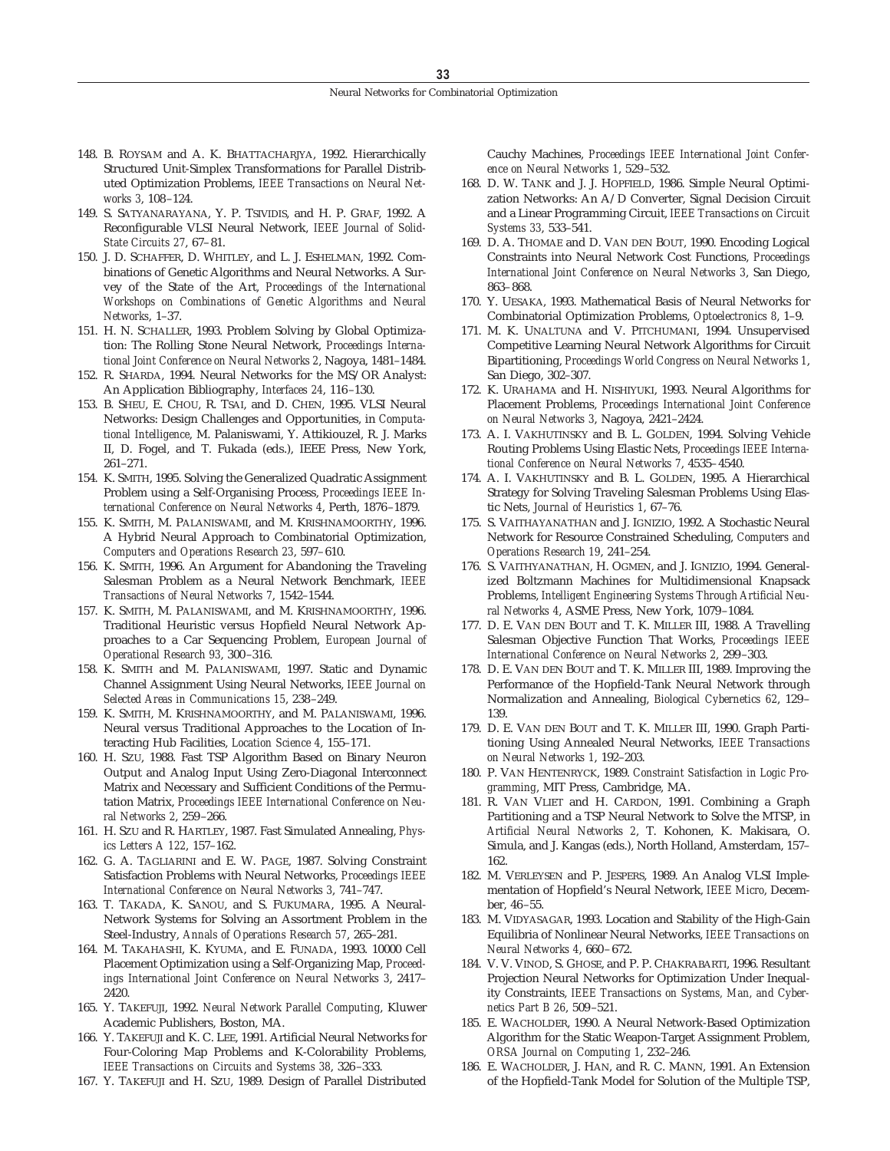#### Neural Networks for Combinatorial Optimization

- 148. B. ROYSAM and A. K. BHATTACHARJYA, 1992. Hierarchically Structured Unit-Simplex Transformations for Parallel Distributed Optimization Problems, *IEEE Transactions on Neural Networks 3*, 108–124.
- 149. S. SATYANARAYANA, Y. P. TSIVIDIS, and H. P. GRAF, 1992. A Reconfigurable VLSI Neural Network, *IEEE Journal of Solid-State Circuits 27*, 67–81.
- 150. J. D. SCHAFFER, D. WHITLEY, and L. J. ESHELMAN, 1992. Combinations of Genetic Algorithms and Neural Networks. A Survey of the State of the Art, *Proceedings of the International Workshops on Combinations of Genetic Algorithms and Neural Networks*, 1–37.
- 151. H. N. SCHALLER, 1993. Problem Solving by Global Optimization: The Rolling Stone Neural Network, *Proceedings International Joint Conference on Neural Networks 2*, Nagoya, 1481–1484.
- 152. R. SHARDA, 1994. Neural Networks for the MS/OR Analyst: An Application Bibliography, *Interfaces 24*, 116–130.
- 153. B. SHEU, E. CHOU, R. TSAI, and D. CHEN, 1995. VLSI Neural Networks: Design Challenges and Opportunities, in *Computational Intelligence*, M. Palaniswami, Y. Attikiouzel, R. J. Marks II, D. Fogel, and T. Fukada (eds.), IEEE Press, New York, 261–271.
- 154. K. SMITH, 1995. Solving the Generalized Quadratic Assignment Problem using a Self-Organising Process, *Proceedings IEEE International Conference on Neural Networks 4*, Perth, 1876–1879.
- 155. K. SMITH, M. PALANISWAMI, and M. KRISHNAMOORTHY, 1996. A Hybrid Neural Approach to Combinatorial Optimization, *Computers and Operations Research 23*, 597–610.
- 156. K. SMITH, 1996. An Argument for Abandoning the Traveling Salesman Problem as a Neural Network Benchmark, *IEEE Transactions of Neural Networks 7*, 1542–1544.
- 157. K. SMITH, M. PALANISWAMI, and M. KRISHNAMOORTHY, 1996. Traditional Heuristic versus Hopfield Neural Network Approaches to a Car Sequencing Problem, *European Journal of Operational Research 93*, 300–316.
- 158. K. SMITH and M. PALANISWAMI, 1997. Static and Dynamic Channel Assignment Using Neural Networks, *IEEE Journal on Selected Areas in Communications 15*, 238–249.
- 159. K. SMITH, M. KRISHNAMOORTHY, and M. PALANISWAMI, 1996. Neural versus Traditional Approaches to the Location of Interacting Hub Facilities, *Location Science 4*, 155–171.
- 160. H. SZU, 1988. Fast TSP Algorithm Based on Binary Neuron Output and Analog Input Using Zero-Diagonal Interconnect Matrix and Necessary and Sufficient Conditions of the Permutation Matrix, *Proceedings IEEE International Conference on Neural Networks 2*, 259–266.
- 161. H. SZU and R. HARTLEY, 1987. Fast Simulated Annealing, *Physics Letters A 122*, 157–162.
- 162. G. A. TAGLIARINI and E. W. PAGE, 1987. Solving Constraint Satisfaction Problems with Neural Networks, *Proceedings IEEE International Conference on Neural Networks 3*, 741–747.
- 163. T. TAKADA, K. SANOU, and S. FUKUMARA, 1995. A Neural-Network Systems for Solving an Assortment Problem in the Steel-Industry, *Annals of Operations Research 57*, 265–281.
- 164. M. TAKAHASHI, K. KYUMA, and E. FUNADA, 1993. 10000 Cell Placement Optimization using a Self-Organizing Map, *Proceedings International Joint Conference on Neural Networks 3*, 2417– 2420.
- 165. Y. TAKEFUJI, 1992. *Neural Network Parallel Computing*, Kluwer Academic Publishers, Boston, MA.
- 166. Y. TAKEFUJI and K. C. LEE, 1991. Artificial Neural Networks for Four-Coloring Map Problems and K-Colorability Problems, *IEEE Transactions on Circuits and Systems 38*, 326–333.
- 167. Y. TAKEFUJI and H. SZU, 1989. Design of Parallel Distributed

Cauchy Machines, *Proceedings IEEE International Joint Conference on Neural Networks 1*, 529–532.

- 168. D. W. TANK and J. J. HOPFIELD, 1986. Simple Neural Optimization Networks: An A/D Converter, Signal Decision Circuit and a Linear Programming Circuit, *IEEE Transactions on Circuit Systems 33*, 533–541.
- 169. D. A. THOMAE and D. VAN DEN BOUT, 1990. Encoding Logical Constraints into Neural Network Cost Functions, *Proceedings International Joint Conference on Neural Networks 3*, San Diego, 863–868.
- 170. Y. UESAKA, 1993. Mathematical Basis of Neural Networks for Combinatorial Optimization Problems, *Optoelectronics 8*, 1–9.
- 171. M. K. UNALTUNA and V. PITCHUMANI, 1994. Unsupervised Competitive Learning Neural Network Algorithms for Circuit Bipartitioning, *Proceedings World Congress on Neural Networks 1*, San Diego, 302–307.
- 172. K. URAHAMA and H. NISHIYUKI, 1993. Neural Algorithms for Placement Problems, *Proceedings International Joint Conference on Neural Networks 3*, Nagoya, 2421–2424.
- 173. A. I. VAKHUTINSKY and B. L. GOLDEN, 1994. Solving Vehicle Routing Problems Using Elastic Nets, *Proceedings IEEE International Conference on Neural Networks 7*, 4535–4540.
- 174. A. I. VAKHUTINSKY and B. L. GOLDEN, 1995. A Hierarchical Strategy for Solving Traveling Salesman Problems Using Elastic Nets, *Journal of Heuristics 1*, 67–76.
- 175. S. VAITHAYANATHAN and J. IGNIZIO, 1992. A Stochastic Neural Network for Resource Constrained Scheduling, *Computers and Operations Research 19*, 241–254.
- 176. S. VAITHYANATHAN, H. OGMEN, and J. IGNIZIO, 1994. Generalized Boltzmann Machines for Multidimensional Knapsack Problems, *Intelligent Engineering Systems Through Artificial Neural Networks 4*, ASME Press, New York, 1079–1084.
- 177. D. E. VAN DEN BOUT and T. K. MILLER III, 1988. A Travelling Salesman Objective Function That Works, *Proceedings IEEE International Conference on Neural Networks 2*, 299–303.
- 178. D. E. VAN DEN BOUT and T. K. MILLER III, 1989. Improving the Performance of the Hopfield-Tank Neural Network through Normalization and Annealing, *Biological Cybernetics 62*, 129– 139.
- 179. D. E. VAN DEN BOUT and T. K. MILLER III, 1990. Graph Partitioning Using Annealed Neural Networks, *IEEE Transactions on Neural Networks 1*, 192–203.
- 180. P. VAN HENTENRYCK, 1989. *Constraint Satisfaction in Logic Programming*, MIT Press, Cambridge, MA.
- 181. R. VAN VLIET and H. CARDON, 1991. Combining a Graph Partitioning and a TSP Neural Network to Solve the MTSP, in *Artificial Neural Networks 2*, T. Kohonen, K. Makisara, O. Simula, and J. Kangas (eds.), North Holland, Amsterdam, 157– 162.
- 182. M. VERLEYSEN and P. JESPERS, 1989. An Analog VLSI Implementation of Hopfield's Neural Network, *IEEE Micro*, December, 46–55.
- 183. M. VIDYASAGAR, 1993. Location and Stability of the High-Gain Equilibria of Nonlinear Neural Networks, *IEEE Transactions on Neural Networks 4*, 660–672.
- 184. V. V. VINOD, S. GHOSE, and P. P. CHAKRABARTI, 1996. Resultant Projection Neural Networks for Optimization Under Inequality Constraints, *IEEE Transactions on Systems, Man, and Cybernetics Part B 26*, 509–521.
- 185. E. WACHOLDER, 1990. A Neural Network-Based Optimization Algorithm for the Static Weapon-Target Assignment Problem, *ORSA Journal on Computing 1*, 232–246.
- 186. E. WACHOLDER, J. HAN, and R. C. MANN, 1991. An Extension of the Hopfield-Tank Model for Solution of the Multiple TSP,